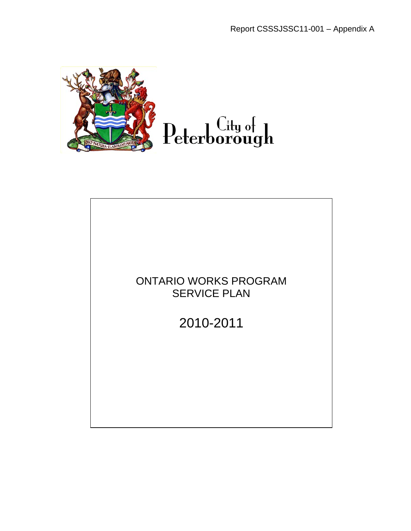

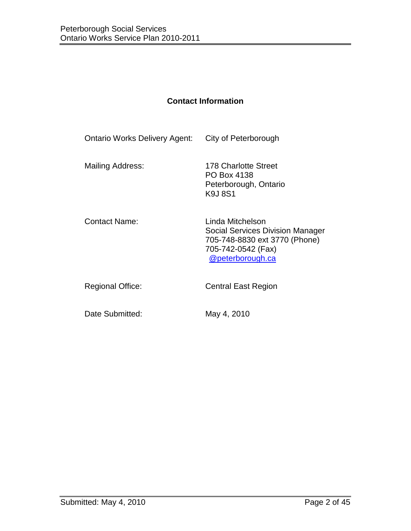# **Contact Information**

| City of Peterborough                                                                                                            |
|---------------------------------------------------------------------------------------------------------------------------------|
| 178 Charlotte Street<br>PO Box 4138<br>Peterborough, Ontario<br>K9J8S1                                                          |
| Linda Mitchelson<br>Social Services Division Manager<br>705-748-8830 ext 3770 (Phone)<br>705-742-0542 (Fax)<br>@peterborough.ca |
| <b>Central East Region</b>                                                                                                      |
|                                                                                                                                 |

Date Submitted: May 4, 2010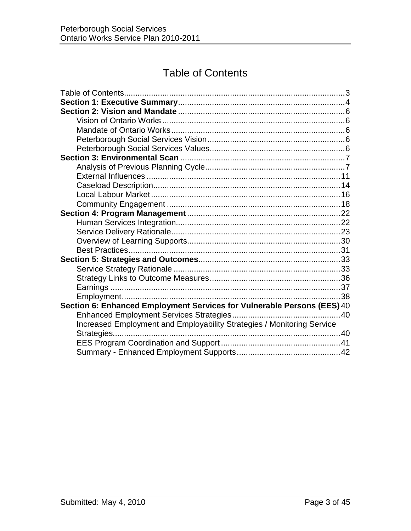# Table of Contents

<span id="page-2-0"></span>

| Section 6: Enhanced Employment Services for Vulnerable Persons (EES) 40 |  |
|-------------------------------------------------------------------------|--|
|                                                                         |  |
| Increased Employment and Employability Strategies / Monitoring Service  |  |
|                                                                         |  |
|                                                                         |  |
|                                                                         |  |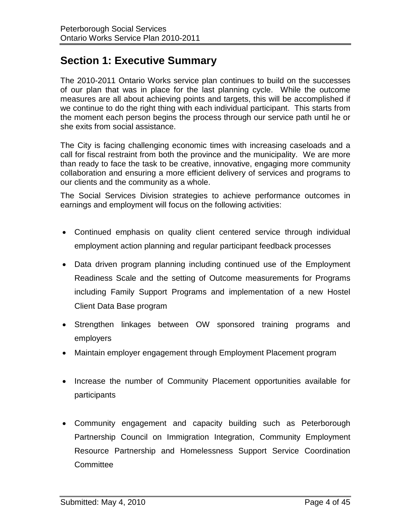# <span id="page-3-0"></span>**Section 1: Executive Summary**

The 2010-2011 Ontario Works service plan continues to build on the successes of our plan that was in place for the last planning cycle. While the outcome measures are all about achieving points and targets, this will be accomplished if we continue to do the right thing with each individual participant. This starts from the moment each person begins the process through our service path until he or she exits from social assistance.

The City is facing challenging economic times with increasing caseloads and a call for fiscal restraint from both the province and the municipality. We are more than ready to face the task to be creative, innovative, engaging more community collaboration and ensuring a more efficient delivery of services and programs to our clients and the community as a whole.

The Social Services Division strategies to achieve performance outcomes in earnings and employment will focus on the following activities:

- Continued emphasis on quality client centered service through individual employment action planning and regular participant feedback processes
- Data driven program planning including continued use of the Employment Readiness Scale and the setting of Outcome measurements for Programs including Family Support Programs and implementation of a new Hostel Client Data Base program
- Strengthen linkages between OW sponsored training programs and employers
- Maintain employer engagement through Employment Placement program
- Increase the number of Community Placement opportunities available for participants
- Community engagement and capacity building such as Peterborough Partnership Council on Immigration Integration, Community Employment Resource Partnership and Homelessness Support Service Coordination **Committee**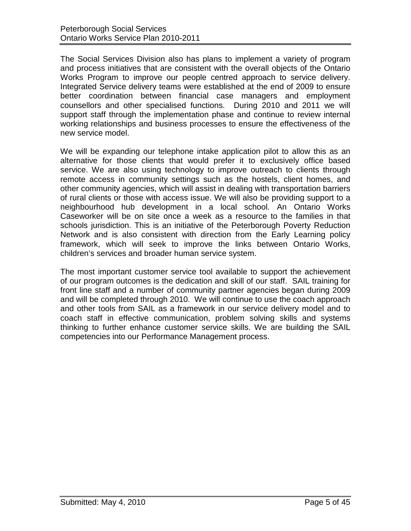The Social Services Division also has plans to implement a variety of program and process initiatives that are consistent with the overall objects of the Ontario Works Program to improve our people centred approach to service delivery. Integrated Service delivery teams were established at the end of 2009 to ensure better coordination between financial case managers and employment counsellors and other specialised functions. During 2010 and 2011 we will support staff through the implementation phase and continue to review internal working relationships and business processes to ensure the effectiveness of the new service model.

We will be expanding our telephone intake application pilot to allow this as an alternative for those clients that would prefer it to exclusively office based service. We are also using technology to improve outreach to clients through remote access in community settings such as the hostels, client homes, and other community agencies, which will assist in dealing with transportation barriers of rural clients or those with access issue. We will also be providing support to a neighbourhood hub development in a local school. An Ontario Works Caseworker will be on site once a week as a resource to the families in that schools jurisdiction. This is an initiative of the Peterborough Poverty Reduction Network and is also consistent with direction from the Early Learning policy framework, which will seek to improve the links between Ontario Works, children's services and broader human service system.

The most important customer service tool available to support the achievement of our program outcomes is the dedication and skill of our staff. SAIL training for front line staff and a number of community partner agencies began during 2009 and will be completed through 2010. We will continue to use the coach approach and other tools from SAIL as a framework in our service delivery model and to coach staff in effective communication, problem solving skills and systems thinking to further enhance customer service skills. We are building the SAIL competencies into our Performance Management process.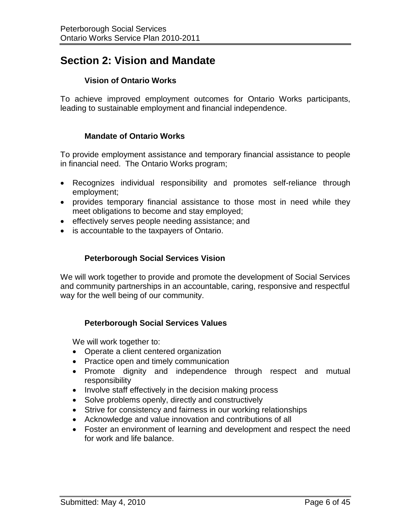# <span id="page-5-0"></span>**Section 2: Vision and Mandate**

# **Vision of Ontario Works**

<span id="page-5-1"></span>To achieve improved employment outcomes for Ontario Works participants, leading to sustainable employment and financial independence.

# **Mandate of Ontario Works**

<span id="page-5-2"></span>To provide employment assistance and temporary financial assistance to people in financial need. The Ontario Works program;

- Recognizes individual responsibility and promotes self-reliance through employment;
- provides temporary financial assistance to those most in need while they meet obligations to become and stay employed;
- effectively serves people needing assistance; and
- is accountable to the taxpayers of Ontario.

# **Peterborough Social Services Vision**

<span id="page-5-3"></span>We will work together to provide and promote the development of Social Services and community partnerships in an accountable, caring, responsive and respectful way for the well being of our community.

# **Peterborough Social Services Values**

<span id="page-5-4"></span>We will work together to:

- Operate a client centered organization
- Practice open and timely communication
- Promote dignity and independence through respect and mutual responsibility
- Involve staff effectively in the decision making process
- Solve problems openly, directly and constructively
- Strive for consistency and fairness in our working relationships
- Acknowledge and value innovation and contributions of all
- Foster an environment of learning and development and respect the need for work and life balance.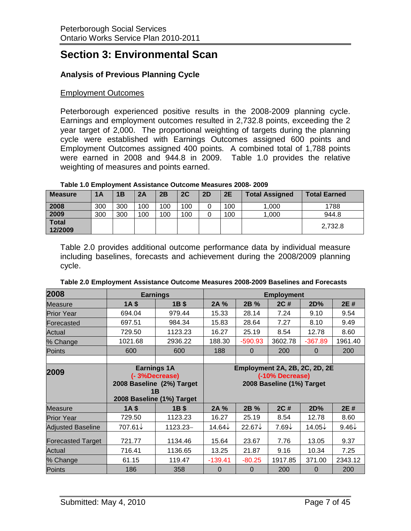# <span id="page-6-0"></span>**Section 3: Environmental Scan**

# <span id="page-6-1"></span>**Analysis of Previous Planning Cycle**

## Employment Outcomes

Peterborough experienced positive results in the 2008-2009 planning cycle. Earnings and employment outcomes resulted in 2,732.8 points, exceeding the 2 year target of 2,000. The proportional weighting of targets during the planning cycle were established with Earnings Outcomes assigned 600 points and Employment Outcomes assigned 400 points. A combined total of 1,788 points were earned in 2008 and 944.8 in 2009. Table 1.0 provides the relative weighting of measures and points earned.

| Table 1.0 Employment Assistance Outcome Measures 2008-2009 |  |  |  |  |  |
|------------------------------------------------------------|--|--|--|--|--|
|------------------------------------------------------------|--|--|--|--|--|

| <b>Measure</b>          | 1A  | 1B  | 2A  | 2B  | 2C  | 2D | 2E  | <b>Total Assigned</b> | <b>Total Earned</b> |
|-------------------------|-----|-----|-----|-----|-----|----|-----|-----------------------|---------------------|
| 2008                    | 300 | 300 | 100 | 100 | 100 | 0  | 100 | 1,000                 | 1788                |
| 2009                    | 300 | 300 | 100 | 100 | 100 | 0  | 100 | 1,000                 | 944.8               |
| <b>Total</b><br>12/2009 |     |     |     |     |     |    |     |                       | 2,732.8             |

Table 2.0 provides additional outcome performance data by individual measure including baselines, forecasts and achievement during the 2008/2009 planning cycle.

| 2008                     |                                                                                                     | <b>Earnings</b><br><b>Employment</b> |                |                                              |                               |                |                  |
|--------------------------|-----------------------------------------------------------------------------------------------------|--------------------------------------|----------------|----------------------------------------------|-------------------------------|----------------|------------------|
| <b>Measure</b>           | 1A <sub>s</sub>                                                                                     | 1B \$                                | 2A %           | 2B %                                         | 2C#                           | 2D%            | 2E#              |
| <b>Prior Year</b>        | 694.04                                                                                              | 979.44                               | 15.33          | 28.14                                        | 7.24                          | 9.10           | 9.54             |
| Forecasted               | 697.51                                                                                              | 984.34                               | 15.83          | 28.64                                        | 7.27                          | 8.10           | 9.49             |
| Actual                   | 729.50                                                                                              | 1123.23                              | 16.27          | 25.19                                        | 8.54                          | 12.78          | 8.60             |
| % Change                 | 1021.68                                                                                             | 2936.22                              | 188.30         | $-590.93$                                    | 3602.78                       | $-367.89$      | 1961.40          |
| Points                   | 600                                                                                                 | 600                                  | 188            | $\Omega$                                     | 200                           | $\Omega$       | 200              |
|                          |                                                                                                     |                                      |                |                                              |                               |                |                  |
| 2009                     | <b>Earnings 1A</b><br>(-3%Decrease)<br>2008 Baseline (2%) Target<br>1B<br>2008 Baseline (1%) Target |                                      |                | (-10% Decrease)<br>2008 Baseline (1%) Target | Employment 2A, 2B, 2C, 2D, 2E |                |                  |
| <b>Measure</b>           | 1A <sub>5</sub>                                                                                     | 1B \$                                | 2A %           | 2B %                                         | 2C #                          | 2D%            | 2E #             |
| <b>Prior Year</b>        | 729.50                                                                                              | 1123.23                              | 16.27          | 25.19                                        | 8.54                          | 12.78          | 8.60             |
| <b>Adjusted Baseline</b> | 707.61↓                                                                                             | 1123.23-                             | 14.64↓         | $22.67\downarrow$                            | $7.69\downarrow$              | 14.05↓         | $9.46\downarrow$ |
| <b>Forecasted Target</b> | 721.77                                                                                              | 1134.46                              | 15.64          | 23.67                                        | 7.76                          | 13.05          | 9.37             |
| Actual                   | 716.41                                                                                              | 1136.65                              | 13.25          | 21.87                                        | 9.16                          | 10.34          | 7.25             |
| % Change                 | 61.15                                                                                               | 119.47                               | $-139.41$      | $-80.25$                                     | 1917.85                       | 371.00         | 2343.12          |
| Points                   | 186                                                                                                 | 358                                  | $\overline{0}$ | $\overline{0}$                               | 200                           | $\overline{0}$ | 200              |

| Table 2.0 Employment Assistance Outcome Measures 2008-2009 Baselines and Forecasts |
|------------------------------------------------------------------------------------|
|------------------------------------------------------------------------------------|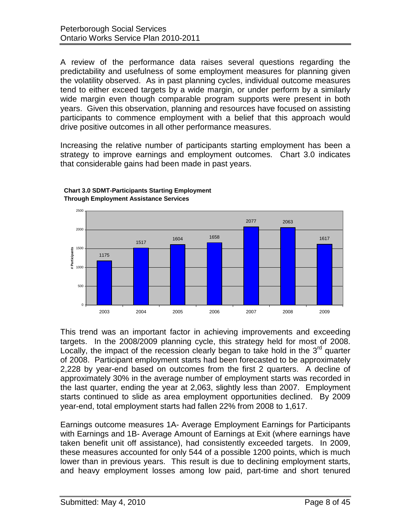A review of the performance data raises several questions regarding the predictability and usefulness of some employment measures for planning given the volatility observed. As in past planning cycles, individual outcome measures tend to either exceed targets by a wide margin, or under perform by a similarly wide margin even though comparable program supports were present in both years. Given this observation, planning and resources have focused on assisting participants to commence employment with a belief that this approach would drive positive outcomes in all other performance measures.

Increasing the relative number of participants starting employment has been a strategy to improve earnings and employment outcomes. Chart 3.0 indicates that considerable gains had been made in past years.



#### **Chart 3.0 SDMT-Participants Starting Employment Through Employment Assistance Services**

This trend was an important factor in achieving improvements and exceeding targets. In the 2008/2009 planning cycle, this strategy held for most of 2008. Locally, the impact of the recession clearly began to take hold in the  $3<sup>rd</sup>$  quarter of 2008. Participant employment starts had been forecasted to be approximately 2,228 by year-end based on outcomes from the first 2 quarters. A decline of approximately 30% in the average number of employment starts was recorded in the last quarter, ending the year at 2,063, slightly less than 2007. Employment starts continued to slide as area employment opportunities declined. By 2009 year-end, total employment starts had fallen 22% from 2008 to 1,617.

Earnings outcome measures 1A- Average Employment Earnings for Participants with Earnings and 1B- Average Amount of Earnings at Exit (where earnings have taken benefit unit off assistance), had consistently exceeded targets. In 2009, these measures accounted for only 544 of a possible 1200 points, which is much lower than in previous years. This result is due to declining employment starts, and heavy employment losses among low paid, part-time and short tenured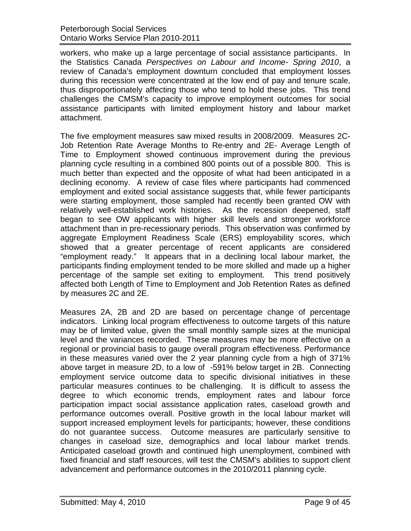workers, who make up a large percentage of social assistance participants. In the Statistics Canada *Perspectives on Labour and Income- Spring 2010*, a review of Canada's employment downturn concluded that employment losses during this recession were concentrated at the low end of pay and tenure scale, thus disproportionately affecting those who tend to hold these jobs. This trend challenges the CMSM's capacity to improve employment outcomes for social assistance participants with limited employment history and labour market attachment.

The five employment measures saw mixed results in 2008/2009. Measures 2C-Job Retention Rate Average Months to Re-entry and 2E- Average Length of Time to Employment showed continuous improvement during the previous planning cycle resulting in a combined 800 points out of a possible 800. This is much better than expected and the opposite of what had been anticipated in a declining economy. A review of case files where participants had commenced employment and exited social assistance suggests that, while fewer participants were starting employment, those sampled had recently been granted OW with relatively well-established work histories. As the recession deepened, staff began to see OW applicants with higher skill levels and stronger workforce attachment than in pre-recessionary periods. This observation was confirmed by aggregate Employment Readiness Scale (ERS) employability scores, which showed that a greater percentage of recent applicants are considered "employment ready." It appears that in a declining local labour market, the participants finding employment tended to be more skilled and made up a higher percentage of the sample set exiting to employment. This trend positively affected both Length of Time to Employment and Job Retention Rates as defined by measures 2C and 2E.

Measures 2A, 2B and 2D are based on percentage change of percentage indicators. Linking local program effectiveness to outcome targets of this nature may be of limited value, given the small monthly sample sizes at the municipal level and the variances recorded. These measures may be more effective on a regional or provincial basis to gauge overall program effectiveness. Performance in these measures varied over the 2 year planning cycle from a high of 371% above target in measure 2D, to a low of -591% below target in 2B. Connecting employment service outcome data to specific divisional initiatives in these particular measures continues to be challenging. It is difficult to assess the degree to which economic trends, employment rates and labour force participation impact social assistance application rates, caseload growth and performance outcomes overall. Positive growth in the local labour market will support increased employment levels for participants; however, these conditions do not guarantee success. Outcome measures are particularly sensitive to changes in caseload size, demographics and local labour market trends. Anticipated caseload growth and continued high unemployment, combined with fixed financial and staff resources, will test the CMSM's abilities to support client advancement and performance outcomes in the 2010/2011 planning cycle.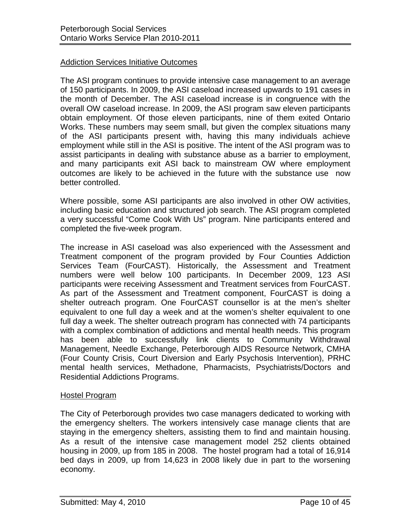## Addiction Services Initiative Outcomes

The ASI program continues to provide intensive case management to an average of 150 participants. In 2009, the ASI caseload increased upwards to 191 cases in the month of December. The ASI caseload increase is in congruence with the overall OW caseload increase. In 2009, the ASI program saw eleven participants obtain employment. Of those eleven participants, nine of them exited Ontario Works. These numbers may seem small, but given the complex situations many of the ASI participants present with, having this many individuals achieve employment while still in the ASI is positive. The intent of the ASI program was to assist participants in dealing with substance abuse as a barrier to employment, and many participants exit ASI back to mainstream OW where employment outcomes are likely to be achieved in the future with the substance use now better controlled.

Where possible, some ASI participants are also involved in other OW activities, including basic education and structured job search. The ASI program completed a very successful "Come Cook With Us" program. Nine participants entered and completed the five-week program.

The increase in ASI caseload was also experienced with the Assessment and Treatment component of the program provided by Four Counties Addiction Services Team (FourCAST). Historically, the Assessment and Treatment numbers were well below 100 participants. In December 2009, 123 ASI participants were receiving Assessment and Treatment services from FourCAST. As part of the Assessment and Treatment component, FourCAST is doing a shelter outreach program. One FourCAST counsellor is at the men's shelter equivalent to one full day a week and at the women's shelter equivalent to one full day a week. The shelter outreach program has connected with 74 participants with a complex combination of addictions and mental health needs. This program has been able to successfully link clients to Community Withdrawal Management, Needle Exchange, Peterborough AIDS Resource Network, CMHA (Four County Crisis, Court Diversion and Early Psychosis Intervention), PRHC mental health services, Methadone, Pharmacists, Psychiatrists/Doctors and Residential Addictions Programs.

#### Hostel Program

The City of Peterborough provides two case managers dedicated to working with the emergency shelters. The workers intensively case manage clients that are staying in the emergency shelters, assisting them to find and maintain housing. As a result of the intensive case management model 252 clients obtained housing in 2009, up from 185 in 2008. The hostel program had a total of 16,914 bed days in 2009, up from 14,623 in 2008 likely due in part to the worsening economy.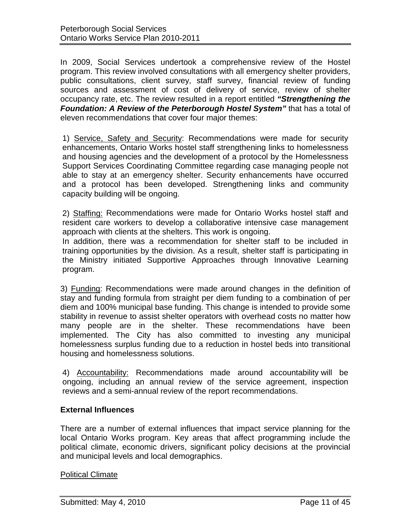In 2009, Social Services undertook a comprehensive review of the Hostel program. This review involved consultations with all emergency shelter providers, public consultations, client survey, staff survey, financial review of funding sources and assessment of cost of delivery of service, review of shelter occupancy rate, etc. The review resulted in a report entitled *"Strengthening the Foundation: A Review of the Peterborough Hostel System"* that has a total of eleven recommendations that cover four major themes:

1) Service, Safety and Security: Recommendations were made for security enhancements, Ontario Works hostel staff strengthening links to homelessness and housing agencies and the development of a protocol by the Homelessness Support Services Coordinating Committee regarding case managing people not able to stay at an emergency shelter. Security enhancements have occurred and a protocol has been developed. Strengthening links and community capacity building will be ongoing.

2) Staffing: Recommendations were made for Ontario Works hostel staff and resident care workers to develop a collaborative intensive case management approach with clients at the shelters. This work is ongoing.

In addition, there was a recommendation for shelter staff to be included in training opportunities by the division. As a result, shelter staff is participating in the Ministry initiated Supportive Approaches through Innovative Learning program.

3) Funding: Recommendations were made around changes in the definition of stay and funding formula from straight per diem funding to a combination of per diem and 100% municipal base funding. This change is intended to provide some stability in revenue to assist shelter operators with overhead costs no matter how many people are in the shelter. These recommendations have been implemented. The City has also committed to investing any municipal homelessness surplus funding due to a reduction in hostel beds into transitional housing and homelessness solutions.

4) Accountability: Recommendations made around accountability will be ongoing, including an annual review of the service agreement, inspection reviews and a semi-annual review of the report recommendations.

# <span id="page-10-0"></span>**External Influences**

There are a number of external influences that impact service planning for the local Ontario Works program. Key areas that affect programming include the political climate, economic drivers, significant policy decisions at the provincial and municipal levels and local demographics.

#### **Political Climate**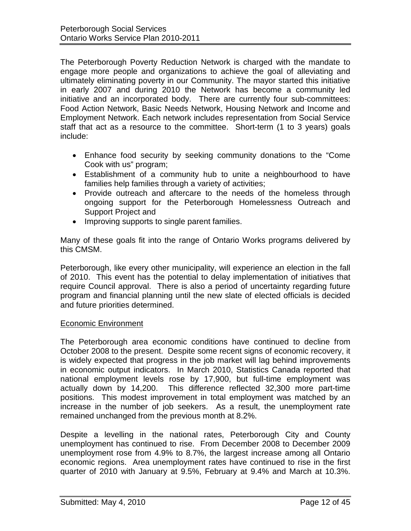The Peterborough Poverty Reduction Network is charged with the mandate to engage more people and organizations to achieve the goal of alleviating and ultimately eliminating poverty in our Community. The mayor started this initiative in early 2007 and during 2010 the Network has become a community led initiative and an incorporated body. There are currently four sub-committees: Food Action Network, Basic Needs Network, Housing Network and Income and Employment Network. Each network includes representation from Social Service staff that act as a resource to the committee. Short-term (1 to 3 years) goals include:

- Enhance food security by seeking community donations to the "Come Cook with us" program;
- Establishment of a community hub to unite a neighbourhood to have families help families through a variety of activities;
- Provide outreach and aftercare to the needs of the homeless through ongoing support for the Peterborough Homelessness Outreach and Support Project and
- Improving supports to single parent families.

Many of these goals fit into the range of Ontario Works programs delivered by this CMSM.

Peterborough, like every other municipality, will experience an election in the fall of 2010. This event has the potential to delay implementation of initiatives that require Council approval. There is also a period of uncertainty regarding future program and financial planning until the new slate of elected officials is decided and future priorities determined.

#### Economic Environment

The Peterborough area economic conditions have continued to decline from October 2008 to the present. Despite some recent signs of economic recovery, it is widely expected that progress in the job market will lag behind improvements in economic output indicators. In March 2010, Statistics Canada reported that national employment levels rose by 17,900, but full-time employment was actually down by 14,200. This difference reflected 32,300 more part-time positions. This modest improvement in total employment was matched by an increase in the number of job seekers. As a result, the unemployment rate remained unchanged from the previous month at 8.2%.

Despite a levelling in the national rates, Peterborough City and County unemployment has continued to rise. From December 2008 to December 2009 unemployment rose from 4.9% to 8.7%, the largest increase among all Ontario economic regions. Area unemployment rates have continued to rise in the first quarter of 2010 with January at 9.5%, February at 9.4% and March at 10.3%.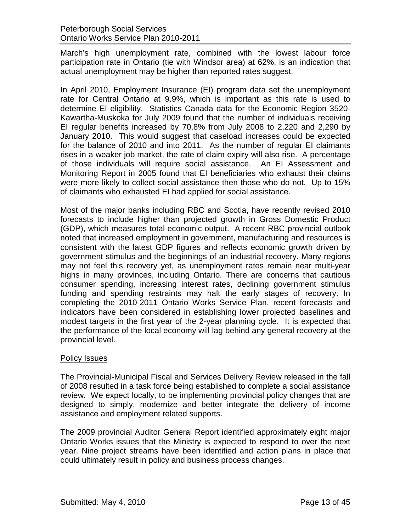March's high unemployment rate, combined with the lowest labour force participation rate in Ontario (tie with Windsor area) at 62%, is an indication that actual unemployment may be higher than reported rates suggest.

In April 2010, Employment Insurance (EI) program data set the unemployment rate for Central Ontario at 9.9%, which is important as this rate is used to determine EI eligibility. Statistics Canada data for the Economic Region 3520- Kawartha-Muskoka for July 2009 found that the number of individuals receiving EI regular benefits increased by 70.8% from July 2008 to 2,220 and 2,290 by January 2010. This would suggest that caseload increases could be expected for the balance of 2010 and into 2011. As the number of regular EI claimants rises in a weaker job market, the rate of claim expiry will also rise. A percentage of those individuals will require social assistance. An EI Assessment and Monitoring Report in 2005 found that EI beneficiaries who exhaust their claims were more likely to collect social assistance then those who do not. Up to 15% of claimants who exhausted EI had applied for social assistance.

Most of the major banks including RBC and Scotia, have recently revised 2010 forecasts to include higher than projected growth in Gross Domestic Product (GDP), which measures total economic output. A recent RBC provincial outlook noted that increased employment in government, manufacturing and resources is consistent with the latest GDP figures and reflects economic growth driven by government stimulus and the beginnings of an industrial recovery. Many regions may not feel this recovery yet, as unemployment rates remain near multi-year highs in many provinces, including Ontario. There are concerns that cautious consumer spending, increasing interest rates, declining government stimulus funding and spending restraints may halt the early stages of recovery. In completing the 2010-2011 Ontario Works Service Plan, recent forecasts and indicators have been considered in establishing lower projected baselines and modest targets in the first year of the 2-year planning cycle. It is expected that the performance of the local economy will lag behind any general recovery at the provincial level.

# Policy Issues

The Provincial-Municipal Fiscal and Services Delivery Review released in the fall of 2008 resulted in a task force being established to complete a social assistance review. We expect locally, to be implementing provincial policy changes that are designed to simply, modernize and better integrate the delivery of income assistance and employment related supports.

The 2009 provincial Auditor General Report identified approximately eight major Ontario Works issues that the Ministry is expected to respond to over the next year. Nine project streams have been identified and action plans in place that could ultimately result in policy and business process changes.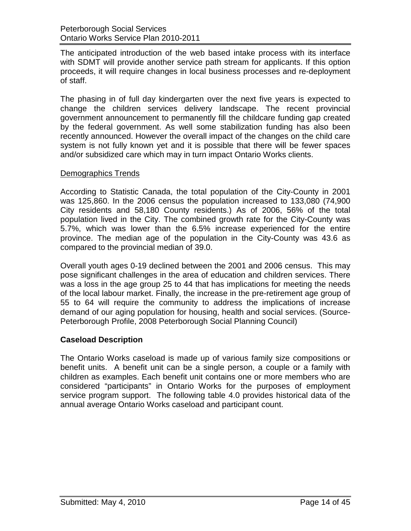The anticipated introduction of the web based intake process with its interface with SDMT will provide another service path stream for applicants. If this option proceeds, it will require changes in local business processes and re-deployment of staff.

The phasing in of full day kindergarten over the next five years is expected to change the children services delivery landscape. The recent provincial government announcement to permanently fill the childcare funding gap created by the federal government. As well some stabilization funding has also been recently announced. However the overall impact of the changes on the child care system is not fully known yet and it is possible that there will be fewer spaces and/or subsidized care which may in turn impact Ontario Works clients.

## Demographics Trends

According to Statistic Canada, the total population of the City-County in 2001 was 125,860. In the 2006 census the population increased to 133,080 (74,900 City residents and 58,180 County residents.) As of 2006, 56% of the total population lived in the City. The combined growth rate for the City-County was 5.7%, which was lower than the 6.5% increase experienced for the entire province. The median age of the population in the City-County was 43.6 as compared to the provincial median of 39.0.

Overall youth ages 0-19 declined between the 2001 and 2006 census. This may pose significant challenges in the area of education and children services. There was a loss in the age group 25 to 44 that has implications for meeting the needs of the local labour market. Finally, the increase in the pre-retirement age group of 55 to 64 will require the community to address the implications of increase demand of our aging population for housing, health and social services. (Source-Peterborough Profile, 2008 Peterborough Social Planning Council)

# <span id="page-13-0"></span>**Caseload Description**

The Ontario Works caseload is made up of various family size compositions or benefit units. A benefit unit can be a single person, a couple or a family with children as examples. Each benefit unit contains one or more members who are considered "participants" in Ontario Works for the purposes of employment service program support. The following table 4.0 provides historical data of the annual average Ontario Works caseload and participant count.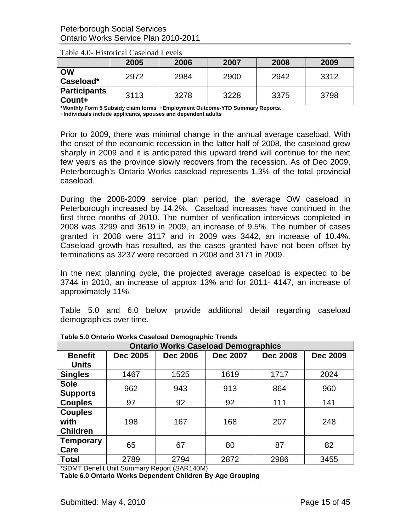|                               | 2005 | 2006 | 2007 | 2008 | 2009 |
|-------------------------------|------|------|------|------|------|
| <b>OW</b><br>Caseload*        | 2972 | 2984 | 2900 | 2942 | 3312 |
| <b>Participants</b><br>Count+ | 3113 | 3278 | 3228 | 3375 | 3798 |

Table 4.0- Historical Caseload Levels

**\*Monthly Form 5 Subsidy claim forms +Employment Outcome-YTD Summary Reports. +Individuals include applicants, spouses and dependent adults**

Prior to 2009, there was minimal change in the annual average caseload. With the onset of the economic recession in the latter half of 2008, the caseload grew sharply in 2009 and it is anticipated this upward trend will continue for the next few years as the province slowly recovers from the recession. As of Dec 2009, Peterborough's Ontario Works caseload represents 1.3% of the total provincial caseload.

During the 2008-2009 service plan period, the average OW caseload in Peterborough increased by 14.2%. Caseload increases have continued in the first three months of 2010. The number of verification interviews completed in 2008 was 3299 and 3619 in 2009, an increase of 9.5%. The number of cases granted in 2008 were 3117 and in 2009 was 3442, an increase of 10.4%. Caseload growth has resulted, as the cases granted have not been offset by terminations as 3237 were recorded in 2008 and 3171 in 2009.

In the next planning cycle, the projected average caseload is expected to be 3744 in 2010, an increase of approx 13% and for 2011- 4147, an increase of approximately 11%.

Table 5.0 and 6.0 below provide additional detail regarding caseload demographics over time.

| <b>Ontario Works Caseload Demographics</b> |                 |                 |                 |                 |                 |  |
|--------------------------------------------|-----------------|-----------------|-----------------|-----------------|-----------------|--|
| <b>Benefit</b><br><b>Units</b>             | <b>Dec 2005</b> | <b>Dec 2006</b> | <b>Dec 2007</b> | <b>Dec 2008</b> | <b>Dec 2009</b> |  |
| <b>Singles</b>                             | 1467            | 1525            | 1619            | 1717            | 2024            |  |
| <b>Sole</b><br><b>Supports</b>             | 962             | 943             | 913             | 864             | 960             |  |
| <b>Couples</b>                             | 97              | 92              | 92              | 111             | 141             |  |
| <b>Couples</b><br>with<br><b>Children</b>  | 198             | 167             | 168             | 207             | 248             |  |
| <b>Temporary</b><br>Care                   | 65              | 67              | 80              | 87              | 82              |  |
| <b>Total</b>                               | 2789            | 2794            | 2872            | 2986            | 3455            |  |

**Table 5.0 Ontario Works Caseload Demographic Trends**

\*SDMT Benefit Unit Summary Report (SAR140M)

**Table 6.0 Ontario Works Dependent Children By Age Grouping**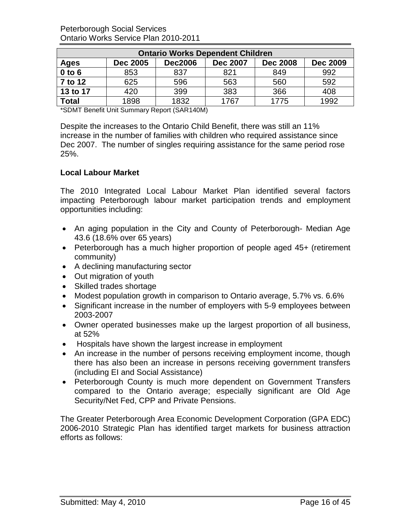Peterborough Social Services Ontario Works Service Plan 2010-2011

| <b>Ontario Works Dependent Children</b> |                 |                |                 |                 |                 |  |
|-----------------------------------------|-----------------|----------------|-----------------|-----------------|-----------------|--|
| <b>Ages</b>                             | <b>Dec 2005</b> | <b>Dec2006</b> | <b>Dec 2007</b> | <b>Dec 2008</b> | <b>Dec 2009</b> |  |
| $0$ to $6$                              | 853             | 837            | 821             | 849             | 992             |  |
| 7 to 12                                 | 625             | 596            | 563             | 560             | 592             |  |
| 13 to 17                                | 420             | 399            | 383             | 366             | 408             |  |
| Total                                   | 1898            | 1832           | 1767            | 1775            | 1992            |  |

\*SDMT Benefit Unit Summary Report (SAR140M)

Despite the increases to the Ontario Child Benefit, there was still an 11% increase in the number of families with children who required assistance since Dec 2007. The number of singles requiring assistance for the same period rose 25%.

## <span id="page-15-0"></span>**Local Labour Market**

The 2010 Integrated Local Labour Market Plan identified several factors impacting Peterborough labour market participation trends and employment opportunities including:

- An aging population in the City and County of Peterborough- Median Age 43.6 (18.6% over 65 years)
- Peterborough has a much higher proportion of people aged 45+ (retirement community)
- A declining manufacturing sector
- Out migration of youth
- Skilled trades shortage
- Modest population growth in comparison to Ontario average, 5.7% vs. 6.6%
- Significant increase in the number of employers with 5-9 employees between 2003-2007
- Owner operated businesses make up the largest proportion of all business, at 52%
- Hospitals have shown the largest increase in employment
- An increase in the number of persons receiving employment income, though there has also been an increase in persons receiving government transfers (including EI and Social Assistance)
- Peterborough County is much more dependent on Government Transfers compared to the Ontario average; especially significant are Old Age Security/Net Fed, CPP and Private Pensions.

The Greater Peterborough Area Economic Development Corporation (GPA EDC) 2006-2010 Strategic Plan has identified target markets for business attraction efforts as follows: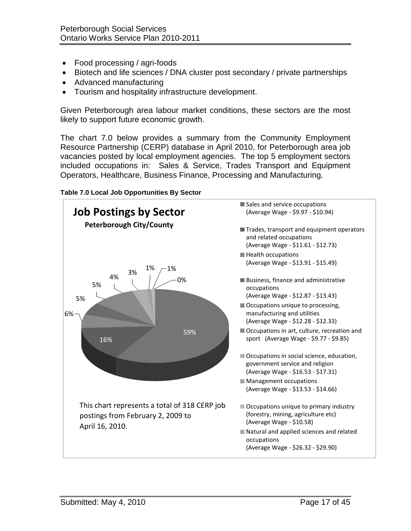- Food processing / agri-foods
- Biotech and life sciences / DNA cluster post secondary / private partnerships
- Advanced manufacturing
- Tourism and hospitality infrastructure development.

Given Peterborough area labour market conditions, these sectors are the most likely to support future economic growth.

The chart 7.0 below provides a summary from the Community Employment Resource Partnership (CERP) database in April 2010, for Peterborough area job vacancies posted by local employment agencies. The top 5 employment sectors included occupations in: Sales & Service, Trades Transport and Equipment Operators, Healthcare, Business Finance, Processing and Manufacturing.



#### **Table 7.0 Local Job Opportunities By Sector**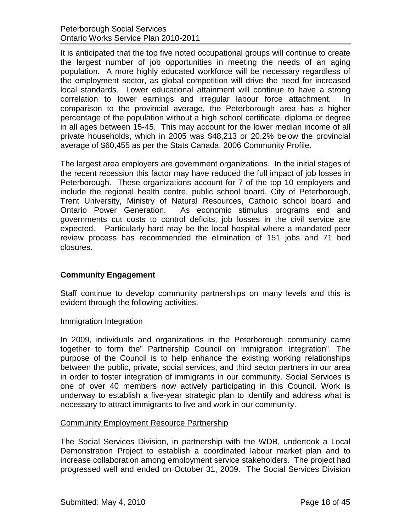It is anticipated that the top five noted occupational groups will continue to create the largest number of job opportunities in meeting the needs of an aging population. A more highly educated workforce will be necessary regardless of the employment sector, as global competition will drive the need for increased local standards. Lower educational attainment will continue to have a strong correlation to lower earnings and irregular labour force attachment. In comparison to the provincial average, the Peterborough area has a higher percentage of the population without a high school certificate, diploma or degree in all ages between 15-45. This may account for the lower median income of all private households, which in 2005 was \$48,213 or 20.2% below the provincial average of \$60,455 as per the Stats Canada, 2006 Community Profile.

The largest area employers are government organizations. In the initial stages of the recent recession this factor may have reduced the full impact of job losses in Peterborough. These organizations account for 7 of the top 10 employers and include the regional health centre, public school board, City of Peterborough, Trent University, Ministry of Natural Resources, Catholic school board and Ontario Power Generation. As economic stimulus programs end and governments cut costs to control deficits, job losses in the civil service are expected. Particularly hard may be the local hospital where a mandated peer review process has recommended the elimination of 151 jobs and 71 bed closures.

# <span id="page-17-0"></span>**Community Engagement**

Staff continue to develop community partnerships on many levels and this is evident through the following activities.

#### Immigration Integration

In 2009, individuals and organizations in the Peterborough community came together to form the" Partnership Council on Immigration Integration". The purpose of the Council is to help enhance the existing working relationships between the public, private, social services, and third sector partners in our area in order to foster integration of immigrants in our community. Social Services is one of over 40 members now actively participating in this Council. Work is underway to establish a five-year strategic plan to identify and address what is necessary to attract immigrants to live and work in our community.

# Community Employment Resource Partnership

The Social Services Division, in partnership with the WDB, undertook a Local Demonstration Project to establish a coordinated labour market plan and to increase collaboration among employment service stakeholders. The project had progressed well and ended on October 31, 2009. The Social Services Division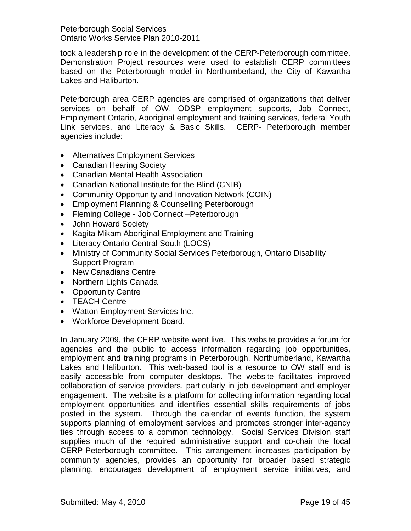took a leadership role in the development of the CERP-Peterborough committee. Demonstration Project resources were used to establish CERP committees based on the Peterborough model in Northumberland, the City of Kawartha Lakes and Haliburton.

Peterborough area CERP agencies are comprised of organizations that deliver services on behalf of OW, ODSP employment supports, Job Connect, Employment Ontario, Aboriginal employment and training services, federal Youth Link services, and Literacy & Basic Skills. CERP- Peterborough member agencies include:

- Alternatives Employment Services
- Canadian Hearing Society
- Canadian Mental Health Association
- Canadian National Institute for the Blind (CNIB)
- Community Opportunity and Innovation Network (COIN)
- Employment Planning & Counselling Peterborough
- Fleming College Job Connect –Peterborough
- John Howard Society
- Kagita Mikam Aboriginal Employment and Training
- Literacy Ontario Central South (LOCS)
- Ministry of Community Social Services Peterborough, Ontario Disability Support Program
- New Canadians Centre
- Northern Lights Canada
- Opportunity Centre
- TEACH Centre
- Watton Employment Services Inc.
- Workforce Development Board.

In January 2009, the CERP website went live. This website provides a forum for agencies and the public to access information regarding job opportunities, employment and training programs in Peterborough, Northumberland, Kawartha Lakes and Haliburton. This web-based tool is a resource to OW staff and is easily accessible from computer desktops. The website facilitates improved collaboration of service providers, particularly in job development and employer engagement. The website is a platform for collecting information regarding local employment opportunities and identifies essential skills requirements of jobs posted in the system. Through the calendar of events function, the system supports planning of employment services and promotes stronger inter-agency ties through access to a common technology. Social Services Division staff supplies much of the required administrative support and co-chair the local CERP-Peterborough committee. This arrangement increases participation by community agencies, provides an opportunity for broader based strategic planning, encourages development of employment service initiatives, and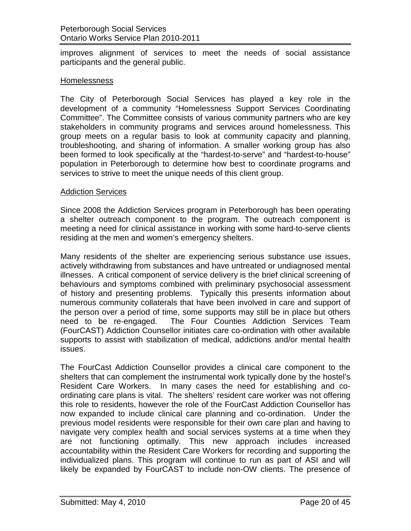improves alignment of services to meet the needs of social assistance participants and the general public.

### Homelessness

The City of Peterborough Social Services has played a key role in the development of a community "Homelessness Support Services Coordinating Committee". The Committee consists of various community partners who are key stakeholders in community programs and services around homelessness. This group meets on a regular basis to look at community capacity and planning, troubleshooting, and sharing of information. A smaller working group has also been formed to look specifically at the "hardest-to-serve" and "hardest-to-house" population in Peterborough to determine how best to coordinate programs and services to strive to meet the unique needs of this client group.

#### Addiction Services

Since 2008 the Addiction Services program in Peterborough has been operating a shelter outreach component to the program. The outreach component is meeting a need for clinical assistance in working with some hard-to-serve clients residing at the men and women's emergency shelters.

Many residents of the shelter are experiencing serious substance use issues, actively withdrawing from substances and have untreated or undiagnosed mental illnesses. A critical component of service delivery is the brief clinical screening of behaviours and symptoms combined with preliminary psychosocial assessment of history and presenting problems. Typically this presents information about numerous community collaterals that have been involved in care and support of the person over a period of time, some supports may still be in place but others need to be re-engaged. The Four Counties Addiction Services Team (FourCAST) Addiction Counsellor initiates care co-ordination with other available supports to assist with stabilization of medical, addictions and/or mental health issues.

The FourCast Addiction Counsellor provides a clinical care component to the shelters that can complement the instrumental work typically done by the hostel's Resident Care Workers. In many cases the need for establishing and coordinating care plans is vital. The shelters' resident care worker was not offering this role to residents, however the role of the FourCast Addiction Counsellor has now expanded to include clinical care planning and co-ordination. Under the previous model residents were responsible for their own care plan and having to navigate very complex health and social services systems at a time when they are not functioning optimally. This new approach includes increased accountability within the Resident Care Workers for recording and supporting the individualized plans. This program will continue to run as part of ASI and will likely be expanded by FourCAST to include non-OW clients. The presence of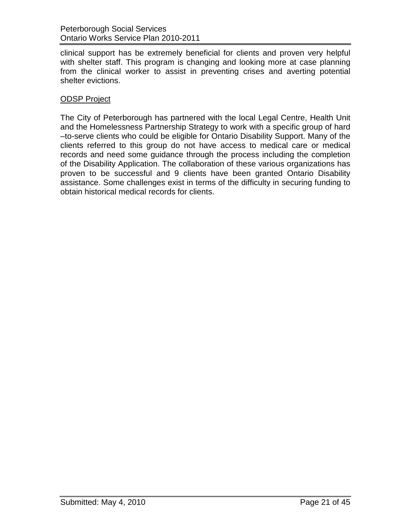clinical support has be extremely beneficial for clients and proven very helpful with shelter staff. This program is changing and looking more at case planning from the clinical worker to assist in preventing crises and averting potential shelter evictions.

## ODSP Project

The City of Peterborough has partnered with the local Legal Centre, Health Unit and the Homelessness Partnership Strategy to work with a specific group of hard –to-serve clients who could be eligible for Ontario Disability Support. Many of the clients referred to this group do not have access to medical care or medical records and need some guidance through the process including the completion of the Disability Application. The collaboration of these various organizations has proven to be successful and 9 clients have been granted Ontario Disability assistance. Some challenges exist in terms of the difficulty in securing funding to obtain historical medical records for clients.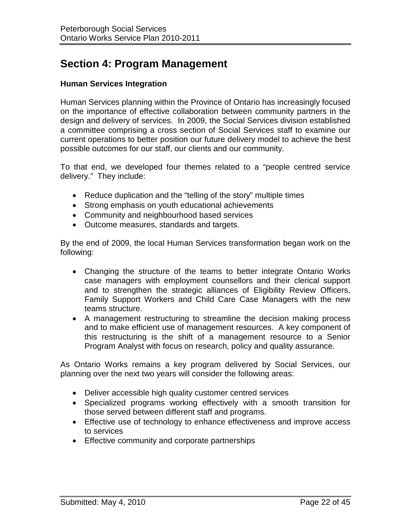# <span id="page-21-0"></span>**Section 4: Program Management**

### <span id="page-21-1"></span>**Human Services Integration**

Human Services planning within the Province of Ontario has increasingly focused on the importance of effective collaboration between community partners in the design and delivery of services. In 2009, the Social Services division established a committee comprising a cross section of Social Services staff to examine our current operations to better position our future delivery model to achieve the best possible outcomes for our staff, our clients and our community.

To that end, we developed four themes related to a "people centred service delivery." They include:

- Reduce duplication and the "telling of the story" multiple times
- Strong emphasis on youth educational achievements
- Community and neighbourhood based services
- Outcome measures, standards and targets.

By the end of 2009, the local Human Services transformation began work on the following:

- Changing the structure of the teams to better integrate Ontario Works case managers with employment counsellors and their clerical support and to strengthen the strategic alliances of Eligibility Review Officers, Family Support Workers and Child Care Case Managers with the new teams structure.
- A management restructuring to streamline the decision making process and to make efficient use of management resources. A key component of this restructuring is the shift of a management resource to a Senior Program Analyst with focus on research, policy and quality assurance.

As Ontario Works remains a key program delivered by Social Services, our planning over the next two years will consider the following areas:

- Deliver accessible high quality customer centred services
- Specialized programs working effectively with a smooth transition for those served between different staff and programs.
- Effective use of technology to enhance effectiveness and improve access to services
- Effective community and corporate partnerships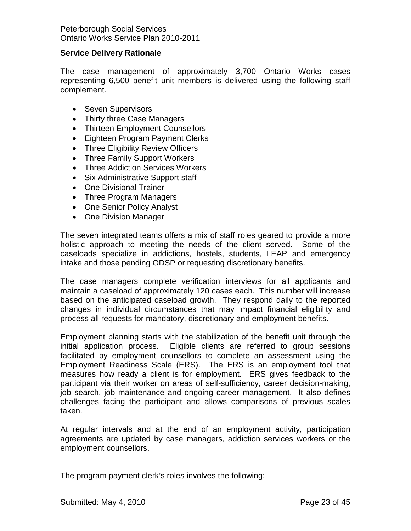### <span id="page-22-0"></span>**Service Delivery Rationale**

The case management of approximately 3,700 Ontario Works cases representing 6,500 benefit unit members is delivered using the following staff complement.

- Seven Supervisors
- Thirty three Case Managers
- Thirteen Employment Counsellors
- Eighteen Program Payment Clerks
- Three Eligibility Review Officers
- Three Family Support Workers
- Three Addiction Services Workers
- Six Administrative Support staff
- One Divisional Trainer
- Three Program Managers
- One Senior Policy Analyst
- One Division Manager

The seven integrated teams offers a mix of staff roles geared to provide a more holistic approach to meeting the needs of the client served. Some of the caseloads specialize in addictions, hostels, students, LEAP and emergency intake and those pending ODSP or requesting discretionary benefits.

The case managers complete verification interviews for all applicants and maintain a caseload of approximately 120 cases each. This number will increase based on the anticipated caseload growth. They respond daily to the reported changes in individual circumstances that may impact financial eligibility and process all requests for mandatory, discretionary and employment benefits.

Employment planning starts with the stabilization of the benefit unit through the initial application process. Eligible clients are referred to group sessions facilitated by employment counsellors to complete an assessment using the Employment Readiness Scale (ERS). The ERS is an employment tool that measures how ready a client is for employment. ERS gives feedback to the participant via their worker on areas of self-sufficiency, career decision-making, job search, job maintenance and ongoing career management. It also defines challenges facing the participant and allows comparisons of previous scales taken.

At regular intervals and at the end of an employment activity, participation agreements are updated by case managers, addiction services workers or the employment counsellors.

The program payment clerk's roles involves the following: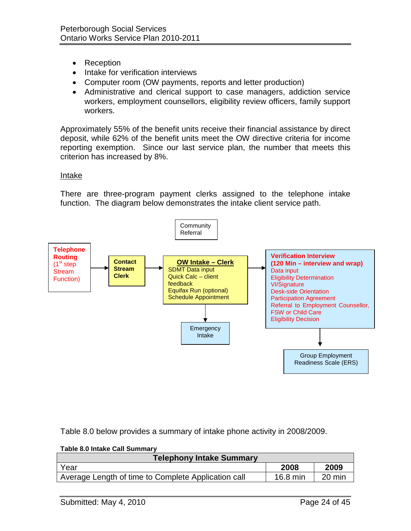- Reception
- Intake for verification interviews
- Computer room (OW payments, reports and letter production)
- Administrative and clerical support to case managers, addiction service workers, employment counsellors, eligibility review officers, family support workers.

Approximately 55% of the benefit units receive their financial assistance by direct deposit, while 62% of the benefit units meet the OW directive criteria for income reporting exemption. Since our last service plan, the number that meets this criterion has increased by 8%.

#### Intake

There are three-program payment clerks assigned to the telephone intake function. The diagram below demonstrates the intake client service path.



Table 8.0 below provides a summary of intake phone activity in 2008/2009.

| Table 6.0 Intake Call Sulfilliary<br><b>Telephony Intake Summary</b> |            |        |
|----------------------------------------------------------------------|------------|--------|
| Year                                                                 | 2008       | 2009   |
| Average Length of time to Complete Application call                  | $16.8$ min | 20 min |

#### **Table 8.0 Intake Call Summary**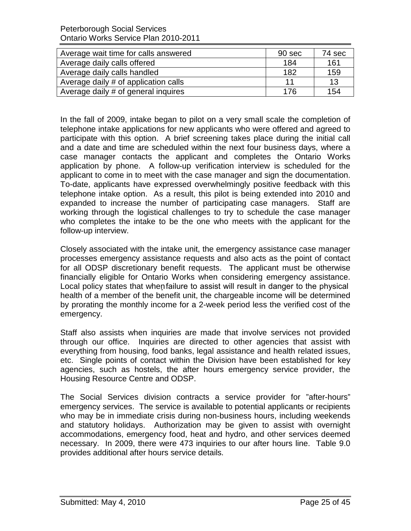Peterborough Social Services Ontario Works Service Plan 2010-2011

| Average wait time for calls answered | 90 sec | 74 sec |
|--------------------------------------|--------|--------|
| Average daily calls offered          | 184    | 161    |
| Average daily calls handled          | 182    | 159    |
| Average daily # of application calls | 11     | 13     |
| Average daily # of general inquires  | 176    | 154    |

In the fall of 2009, intake began to pilot on a very small scale the completion of telephone intake applications for new applicants who were offered and agreed to participate with this option. A brief screening takes place during the initial call and a date and time are scheduled within the next four business days, where a case manager contacts the applicant and completes the Ontario Works application by phone. A follow-up verification interview is scheduled for the applicant to come in to meet with the case manager and sign the documentation. To-date, applicants have expressed overwhelmingly positive feedback with this telephone intake option. As a result, this pilot is being extended into 2010 and expanded to increase the number of participating case managers. Staff are working through the logistical challenges to try to schedule the case manager who completes the intake to be the one who meets with the applicant for the follow-up interview.

Closely associated with the intake unit, the emergency assistance case manager processes emergency assistance requests and also acts as the point of contact for all ODSP discretionary benefit requests. The applicant must be otherwise financially eligible for Ontario Works when considering emergency assistance. Local policy states that when failure to assist will result in danger to the physical health of a member of the benefit unit, the chargeable income will be determined by prorating the monthly income for a 2-week period less the verified cost of the emergency.

Staff also assists when inquiries are made that involve services not provided through our office. Inquiries are directed to other agencies that assist with everything from housing, food banks, legal assistance and health related issues, etc. Single points of contact within the Division have been established for key agencies, such as hostels, the after hours emergency service provider, the Housing Resource Centre and ODSP.

The Social Services division contracts a service provider for "after-hours" emergency services. The service is available to potential applicants or recipients who may be in immediate crisis during non-business hours, including weekends and statutory holidays. Authorization may be given to assist with overnight accommodations, emergency food, heat and hydro, and other services deemed necessary. In 2009, there were 473 inquiries to our after hours line. Table 9.0 provides additional after hours service details.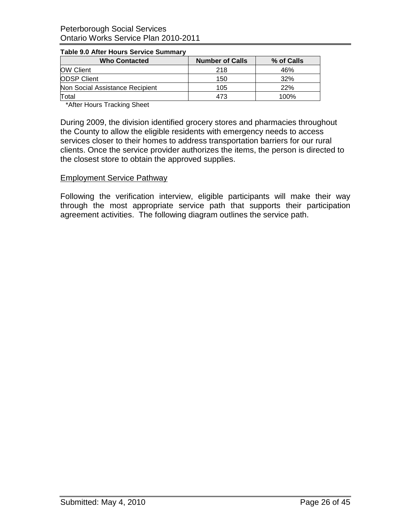| <b>Who Contacted</b>            | <b>Number of Calls</b> | % of Calls |  |  |  |  |
|---------------------------------|------------------------|------------|--|--|--|--|
| <b>OW Client</b>                | 218                    | 46%        |  |  |  |  |
| <b>ODSP Client</b>              | 150                    | 32%        |  |  |  |  |
| Non Social Assistance Recipient | 105                    | 22%        |  |  |  |  |
| Total                           | 473                    | 100%       |  |  |  |  |

#### **Table 9.0 After Hours Service Summary**

\*After Hours Tracking Sheet

During 2009, the division identified grocery stores and pharmacies throughout the County to allow the eligible residents with emergency needs to access services closer to their homes to address transportation barriers for our rural clients. Once the service provider authorizes the items, the person is directed to the closest store to obtain the approved supplies.

#### Employment Service Pathway

Following the verification interview, eligible participants will make their way through the most appropriate service path that supports their participation agreement activities. The following diagram outlines the service path.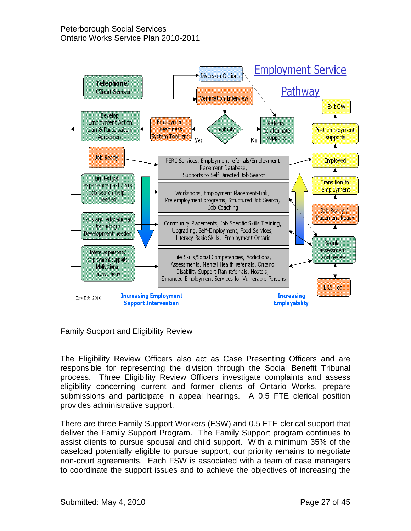

#### Family Support and Eligibility Review

The Eligibility Review Officers also act as Case Presenting Officers and are responsible for representing the division through the Social Benefit Tribunal process. Three Eligibility Review Officers investigate complaints and assess eligibility concerning current and former clients of Ontario Works, prepare submissions and participate in appeal hearings. A 0.5 FTE clerical position provides administrative support.

There are three Family Support Workers (FSW) and 0.5 FTE clerical support that deliver the Family Support Program. The Family Support program continues to assist clients to pursue spousal and child support. With a minimum 35% of the caseload potentially eligible to pursue support, our priority remains to negotiate non-court agreements. Each FSW is associated with a team of case managers to coordinate the support issues and to achieve the objectives of increasing the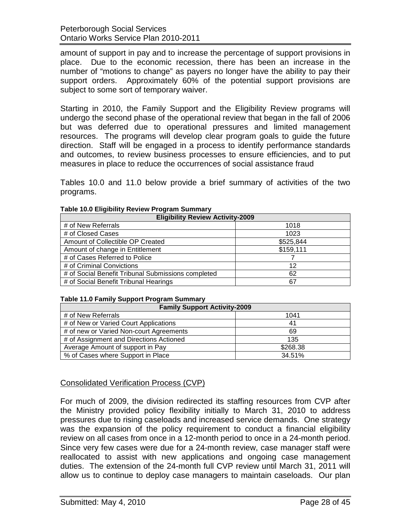amount of support in pay and to increase the percentage of support provisions in place. Due to the economic recession, there has been an increase in the number of "motions to change" as payers no longer have the ability to pay their support orders. Approximately 60% of the potential support provisions are subject to some sort of temporary waiver.

Starting in 2010, the Family Support and the Eligibility Review programs will undergo the second phase of the operational review that began in the fall of 2006 but was deferred due to operational pressures and limited management resources. The programs will develop clear program goals to guide the future direction. Staff will be engaged in a process to identify performance standards and outcomes, to review business processes to ensure efficiencies, and to put measures in place to reduce the occurrences of social assistance fraud

Tables 10.0 and 11.0 below provide a brief summary of activities of the two programs.

| <b>Eligibility Review Activity-2009</b>            |           |  |  |  |  |  |  |  |
|----------------------------------------------------|-----------|--|--|--|--|--|--|--|
| # of New Referrals                                 | 1018      |  |  |  |  |  |  |  |
| # of Closed Cases                                  | 1023      |  |  |  |  |  |  |  |
| Amount of Collectible OP Created                   | \$525,844 |  |  |  |  |  |  |  |
| Amount of change in Entitlement                    | \$159,111 |  |  |  |  |  |  |  |
| # of Cases Referred to Police                      |           |  |  |  |  |  |  |  |
| # of Criminal Convictions                          | 12        |  |  |  |  |  |  |  |
| # of Social Benefit Tribunal Submissions completed | 62        |  |  |  |  |  |  |  |
| # of Social Benefit Tribunal Hearings              | 67        |  |  |  |  |  |  |  |

#### **Table 10.0 Eligibility Review Program Summary**

#### **Table 11.0 Family Support Program Summary**

| <b>Family Support Activity-2009</b>     |          |  |  |  |  |  |  |  |  |
|-----------------------------------------|----------|--|--|--|--|--|--|--|--|
| # of New Referrals                      | 1041     |  |  |  |  |  |  |  |  |
| # of New or Varied Court Applications   | 41       |  |  |  |  |  |  |  |  |
| # of new or Varied Non-court Agreements | 69       |  |  |  |  |  |  |  |  |
| # of Assignment and Directions Actioned | 135      |  |  |  |  |  |  |  |  |
| Average Amount of support in Pay        | \$268.38 |  |  |  |  |  |  |  |  |
| % of Cases where Support in Place       | 34.51%   |  |  |  |  |  |  |  |  |

# Consolidated Verification Process (CVP)

For much of 2009, the division redirected its staffing resources from CVP after the Ministry provided policy flexibility initially to March 31, 2010 to address pressures due to rising caseloads and increased service demands. One strategy was the expansion of the policy requirement to conduct a financial eligibility review on all cases from once in a 12-month period to once in a 24-month period. Since very few cases were due for a 24-month review, case manager staff were reallocated to assist with new applications and ongoing case management duties. The extension of the 24-month full CVP review until March 31, 2011 will allow us to continue to deploy case managers to maintain caseloads. Our plan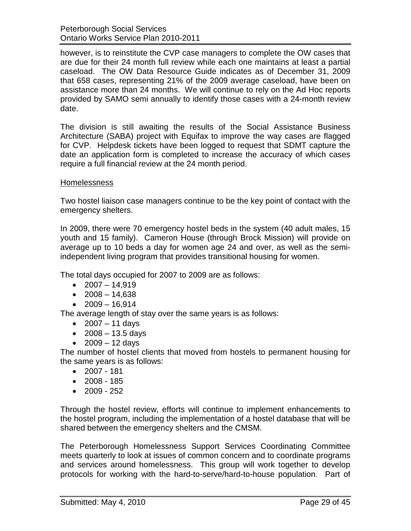Peterborough Social Services Ontario Works Service Plan 2010-2011

however, is to reinstitute the CVP case managers to complete the OW cases that are due for their 24 month full review while each one maintains at least a partial caseload. The OW Data Resource Guide indicates as of December 31, 2009 that 658 cases, representing 21% of the 2009 average caseload, have been on assistance more than 24 months. We will continue to rely on the Ad Hoc reports provided by SAMO semi annually to identify those cases with a 24-month review date.

The division is still awaiting the results of the Social Assistance Business Architecture (SABA) project with Equifax to improve the way cases are flagged for CVP. Helpdesk tickets have been logged to request that SDMT capture the date an application form is completed to increase the accuracy of which cases require a full financial review at the 24 month period.

#### Homelessness

Two hostel liaison case managers continue to be the key point of contact with the emergency shelters.

In 2009, there were 70 emergency hostel beds in the system (40 adult males, 15 youth and 15 family). Cameron House (through Brock Mission) will provide on average up to 10 beds a day for women age 24 and over, as well as the semiindependent living program that provides transitional housing for women.

The total days occupied for 2007 to 2009 are as follows:

- $2007 14.919$
- $\bullet$  2008 14,638
- $2009 16,914$

The average length of stay over the same years is as follows:

- $2007 11$  days
- $2008 13.5$  days
- $2009 12$  days

The number of hostel clients that moved from hostels to permanent housing for the same years is as follows:

- 2007 181
- $2008 185$
- 2009 252

Through the hostel review, efforts will continue to implement enhancements to the hostel program, including the implementation of a hostel database that will be shared between the emergency shelters and the CMSM.

The Peterborough Homelessness Support Services Coordinating Committee meets quarterly to look at issues of common concern and to coordinate programs and services around homelessness. This group will work together to develop protocols for working with the hard-to-serve/hard-to-house population. Part of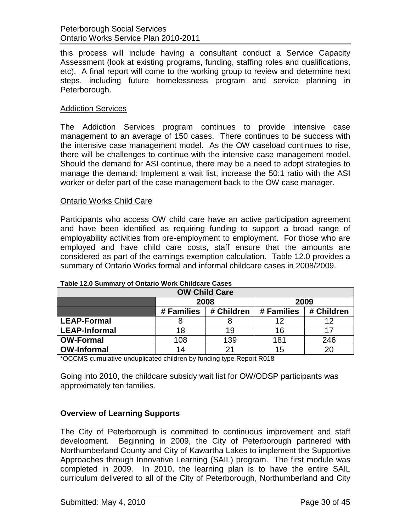this process will include having a consultant conduct a Service Capacity Assessment (look at existing programs, funding, staffing roles and qualifications, etc). A final report will come to the working group to review and determine next steps, including future homelessness program and service planning in Peterborough.

### Addiction Services

The Addiction Services program continues to provide intensive case management to an average of 150 cases. There continues to be success with the intensive case management model. As the OW caseload continues to rise, there will be challenges to continue with the intensive case management model. Should the demand for ASI continue, there may be a need to adopt strategies to manage the demand: Implement a wait list, increase the 50:1 ratio with the ASI worker or defer part of the case management back to the OW case manager.

#### Ontario Works Child Care

Participants who access OW child care have an active participation agreement and have been identified as requiring funding to support a broad range of employability activities from pre-employment to employment. For those who are employed and have child care costs, staff ensure that the amounts are considered as part of the earnings exemption calculation. Table 12.0 provides a summary of Ontario Works formal and informal childcare cases in 2008/2009.

| $14000$ $1400$ $0411111141$ $101$ $01$ $01110110$ $1101110$ $0111100010$ |            |            |            |            |  |  |  |  |  |  |  |
|--------------------------------------------------------------------------|------------|------------|------------|------------|--|--|--|--|--|--|--|
| <b>OW Child Care</b>                                                     |            |            |            |            |  |  |  |  |  |  |  |
|                                                                          | 2008       |            | 2009       |            |  |  |  |  |  |  |  |
|                                                                          | # Families | # Children | # Families | # Children |  |  |  |  |  |  |  |
| <b>LEAP-Formal</b>                                                       |            |            | 12         | 12         |  |  |  |  |  |  |  |
| <b>LEAP-Informal</b>                                                     | 18         | 19         | 16         |            |  |  |  |  |  |  |  |
| <b>OW-Formal</b>                                                         | 108        | 139        | 181        | 246        |  |  |  |  |  |  |  |
| <b>OW-Informal</b>                                                       | 14         |            | 15         | 20         |  |  |  |  |  |  |  |

#### **Table 12.0 Summary of Ontario Work Childcare Cases**

\*OCCMS cumulative unduplicated children by funding type Report R018

Going into 2010, the childcare subsidy wait list for OW/ODSP participants was approximately ten families.

#### <span id="page-29-0"></span>**Overview of Learning Supports**

The City of Peterborough is committed to continuous improvement and staff development. Beginning in 2009, the City of Peterborough partnered with Northumberland County and City of Kawartha Lakes to implement the Supportive Approaches through Innovative Learning (SAIL) program. The first module was completed in 2009. In 2010, the learning plan is to have the entire SAIL curriculum delivered to all of the City of Peterborough, Northumberland and City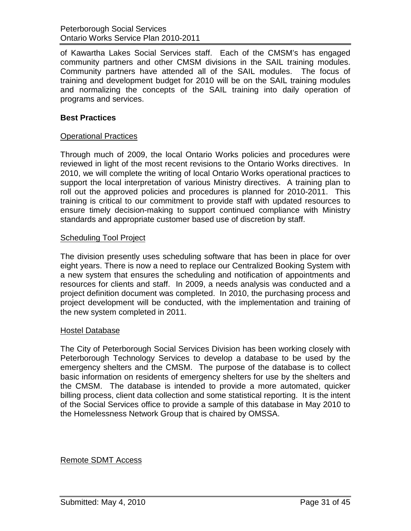of Kawartha Lakes Social Services staff. Each of the CMSM's has engaged community partners and other CMSM divisions in the SAIL training modules. Community partners have attended all of the SAIL modules. The focus of training and development budget for 2010 will be on the SAIL training modules and normalizing the concepts of the SAIL training into daily operation of programs and services.

## <span id="page-30-0"></span>**Best Practices**

## Operational Practices

Through much of 2009, the local Ontario Works policies and procedures were reviewed in light of the most recent revisions to the Ontario Works directives. In 2010, we will complete the writing of local Ontario Works operational practices to support the local interpretation of various Ministry directives. A training plan to roll out the approved policies and procedures is planned for 2010-2011. This training is critical to our commitment to provide staff with updated resources to ensure timely decision-making to support continued compliance with Ministry standards and appropriate customer based use of discretion by staff.

#### Scheduling Tool Project

The division presently uses scheduling software that has been in place for over eight years. There is now a need to replace our Centralized Booking System with a new system that ensures the scheduling and notification of appointments and resources for clients and staff. In 2009, a needs analysis was conducted and a project definition document was completed. In 2010, the purchasing process and project development will be conducted, with the implementation and training of the new system completed in 2011.

#### Hostel Database

The City of Peterborough Social Services Division has been working closely with Peterborough Technology Services to develop a database to be used by the emergency shelters and the CMSM. The purpose of the database is to collect basic information on residents of emergency shelters for use by the shelters and the CMSM. The database is intended to provide a more automated, quicker billing process, client data collection and some statistical reporting. It is the intent of the Social Services office to provide a sample of this database in May 2010 to the Homelessness Network Group that is chaired by OMSSA.

Remote SDMT Access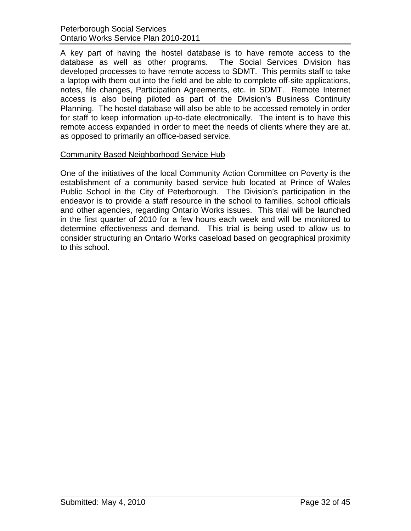A key part of having the hostel database is to have remote access to the database as well as other programs. The Social Services Division has developed processes to have remote access to SDMT. This permits staff to take a laptop with them out into the field and be able to complete off-site applications, notes, file changes, Participation Agreements, etc. in SDMT. Remote Internet access is also being piloted as part of the Division's Business Continuity Planning. The hostel database will also be able to be accessed remotely in order for staff to keep information up-to-date electronically. The intent is to have this remote access expanded in order to meet the needs of clients where they are at, as opposed to primarily an office-based service.

# Community Based Neighborhood Service Hub

One of the initiatives of the local Community Action Committee on Poverty is the establishment of a community based service hub located at Prince of Wales Public School in the City of Peterborough. The Division's participation in the endeavor is to provide a staff resource in the school to families, school officials and other agencies, regarding Ontario Works issues. This trial will be launched in the first quarter of 2010 for a few hours each week and will be monitored to determine effectiveness and demand. This trial is being used to allow us to consider structuring an Ontario Works caseload based on geographical proximity to this school.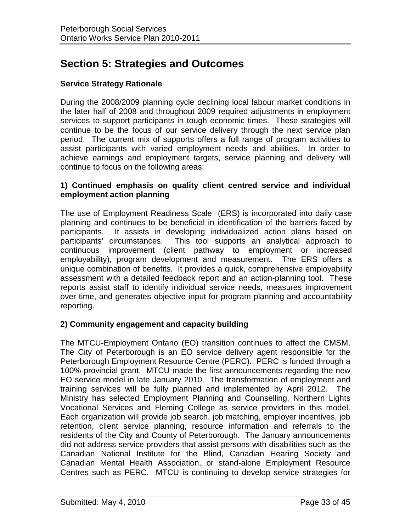# <span id="page-32-0"></span>**Section 5: Strategies and Outcomes**

# <span id="page-32-1"></span>**Service Strategy Rationale**

During the 2008/2009 planning cycle declining local labour market conditions in the later half of 2008 and throughout 2009 required adjustments in employment services to support participants in tough economic times. These strategies will continue to be the focus of our service delivery through the next service plan period. The current mix of supports offers a full range of program activities to assist participants with varied employment needs and abilities. In order to achieve earnings and employment targets, service planning and delivery will continue to focus on the following areas:

## **1) Continued emphasis on quality client centred service and individual employment action planning**

The use of Employment Readiness Scale (ERS) is incorporated into daily case planning and continues to be beneficial in identification of the barriers faced by participants. It assists in developing individualized action plans based on participants' circumstances. This tool supports an analytical approach to continuous improvement (client pathway to employment or increased employability), program development and measurement. The ERS offers a unique combination of benefits. It provides a quick, comprehensive employability assessment with a detailed feedback report and an action-planning tool. These reports assist staff to identify individual service needs, measures improvement over time, and generates objective input for program planning and accountability reporting.

# **2) Community engagement and capacity building**

The MTCU-Employment Ontario (EO) transition continues to affect the CMSM. The City of Peterborough is an EO service delivery agent responsible for the Peterborough Employment Resource Centre (PERC). PERC is funded through a 100% provincial grant. MTCU made the first announcements regarding the new EO service model in late January 2010. The transformation of employment and training services will be fully planned and implemented by April 2012. The Ministry has selected Employment Planning and Counselling, Northern Lights Vocational Services and Fleming College as service providers in this model. Each organization will provide job search, job matching, employer incentives, job retention, client service planning, resource information and referrals to the residents of the City and County of Peterborough. The January announcements did not address service providers that assist persons with disabilities such as the Canadian National Institute for the Blind, Canadian Hearing Society and Canadian Mental Health Association, or stand-alone Employment Resource Centres such as PERC. MTCU is continuing to develop service strategies for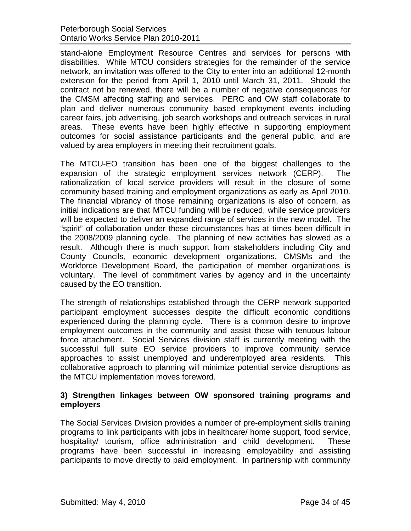stand-alone Employment Resource Centres and services for persons with disabilities. While MTCU considers strategies for the remainder of the service network, an invitation was offered to the City to enter into an additional 12-month extension for the period from April 1, 2010 until March 31, 2011. Should the contract not be renewed, there will be a number of negative consequences for the CMSM affecting staffing and services. PERC and OW staff collaborate to plan and deliver numerous community based employment events including career fairs, job advertising, job search workshops and outreach services in rural areas. These events have been highly effective in supporting employment outcomes for social assistance participants and the general public, and are valued by area employers in meeting their recruitment goals.

The MTCU-EO transition has been one of the biggest challenges to the expansion of the strategic employment services network (CERP). The rationalization of local service providers will result in the closure of some community based training and employment organizations as early as April 2010. The financial vibrancy of those remaining organizations is also of concern, as initial indications are that MTCU funding will be reduced, while service providers will be expected to deliver an expanded range of services in the new model. The "spirit" of collaboration under these circumstances has at times been difficult in the 2008/2009 planning cycle. The planning of new activities has slowed as a result. Although there is much support from stakeholders including City and County Councils, economic development organizations, CMSMs and the Workforce Development Board, the participation of member organizations is voluntary. The level of commitment varies by agency and in the uncertainty caused by the EO transition.

The strength of relationships established through the CERP network supported participant employment successes despite the difficult economic conditions experienced during the planning cycle. There is a common desire to improve employment outcomes in the community and assist those with tenuous labour force attachment. Social Services division staff is currently meeting with the successful full suite EO service providers to improve community service approaches to assist unemployed and underemployed area residents. This collaborative approach to planning will minimize potential service disruptions as the MTCU implementation moves foreword.

## **3) Strengthen linkages between OW sponsored training programs and employers**

The Social Services Division provides a number of pre-employment skills training programs to link participants with jobs in healthcare/ home support, food service, hospitality/ tourism, office administration and child development. These programs have been successful in increasing employability and assisting participants to move directly to paid employment. In partnership with community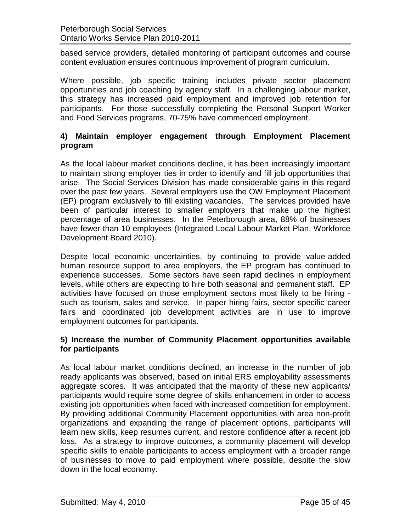based service providers, detailed monitoring of participant outcomes and course content evaluation ensures continuous improvement of program curriculum.

Where possible, job specific training includes private sector placement opportunities and job coaching by agency staff. In a challenging labour market, this strategy has increased paid employment and improved job retention for participants. For those successfully completing the Personal Support Worker and Food Services programs, 70-75% have commenced employment.

# **4) Maintain employer engagement through Employment Placement program**

As the local labour market conditions decline, it has been increasingly important to maintain strong employer ties in order to identify and fill job opportunities that arise. The Social Services Division has made considerable gains in this regard over the past few years. Several employers use the OW Employment Placement (EP) program exclusively to fill existing vacancies. The services provided have been of particular interest to smaller employers that make up the highest percentage of area businesses. In the Peterborough area, 88% of businesses have fewer than 10 employees (Integrated Local Labour Market Plan, Workforce Development Board 2010).

Despite local economic uncertainties, by continuing to provide value-added human resource support to area employers, the EP program has continued to experience successes. Some sectors have seen rapid declines in employment levels, while others are expecting to hire both seasonal and permanent staff. EP activities have focused on those employment sectors most likely to be hiring such as tourism, sales and service. In-paper hiring fairs, sector specific career fairs and coordinated job development activities are in use to improve employment outcomes for participants.

# **5) Increase the number of Community Placement opportunities available for participants**

As local labour market conditions declined, an increase in the number of job ready applicants was observed, based on initial ERS employability assessments aggregate scores. It was anticipated that the majority of these new applicants/ participants would require some degree of skills enhancement in order to access existing job opportunities when faced with increased competition for employment. By providing additional Community Placement opportunities with area non-profit organizations and expanding the range of placement options, participants will learn new skills, keep resumes current, and restore confidence after a recent job loss. As a strategy to improve outcomes, a community placement will develop specific skills to enable participants to access employment with a broader range of businesses to move to paid employment where possible, despite the slow down in the local economy.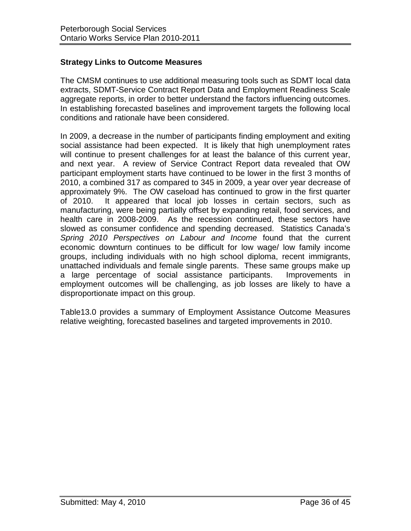# <span id="page-35-0"></span>**Strategy Links to Outcome Measures**

The CMSM continues to use additional measuring tools such as SDMT local data extracts, SDMT-Service Contract Report Data and Employment Readiness Scale aggregate reports, in order to better understand the factors influencing outcomes. In establishing forecasted baselines and improvement targets the following local conditions and rationale have been considered.

In 2009, a decrease in the number of participants finding employment and exiting social assistance had been expected. It is likely that high unemployment rates will continue to present challenges for at least the balance of this current year, and next year. A review of Service Contract Report data revealed that OW participant employment starts have continued to be lower in the first 3 months of 2010, a combined 317 as compared to 345 in 2009, a year over year decrease of approximately 9%. The OW caseload has continued to grow in the first quarter of 2010. It appeared that local job losses in certain sectors, such as manufacturing, were being partially offset by expanding retail, food services, and health care in 2008-2009. As the recession continued, these sectors have slowed as consumer confidence and spending decreased. Statistics Canada's *Spring 2010 Perspectives on Labour and Income* found that the current economic downturn continues to be difficult for low wage/ low family income groups, including individuals with no high school diploma, recent immigrants, unattached individuals and female single parents. These same groups make up a large percentage of social assistance participants. Improvements in employment outcomes will be challenging, as job losses are likely to have a disproportionate impact on this group.

Table13.0 provides a summary of Employment Assistance Outcome Measures relative weighting, forecasted baselines and targeted improvements in 2010.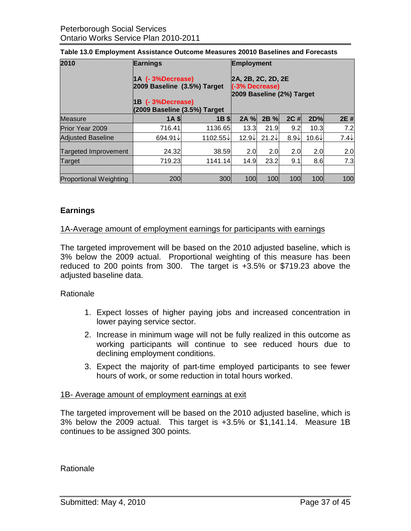| 2010                          | <b>Earnings</b><br>1A (-3%Decrease)<br>2009 Baseline (3.5%) Target<br>1B (- 3%Decrease)<br>(2009 Baseline (3.5%) Target | <b>Employment</b><br>2A, 2B, 2C, 2D, 2E<br>(-3% Decrease)<br>2009 Baseline (2%) Target |                   |                |                 |                   |                 |  |  |
|-------------------------------|-------------------------------------------------------------------------------------------------------------------------|----------------------------------------------------------------------------------------|-------------------|----------------|-----------------|-------------------|-----------------|--|--|
| <b>Measure</b>                | <b>1A SI</b>                                                                                                            | $1B \,$ \$                                                                             | 2A %              | $2B\%$         | $2C$ #          | 2D%               | 2E #            |  |  |
| <b>Prior Year 2009</b>        | 716.41                                                                                                                  | 1136.65                                                                                | 13.3              | 21.9           | 9.2             | 10.3              | 7.2             |  |  |
| <b>Adjusted Baseline</b>      | 694.91↓                                                                                                                 | 1102.55↓                                                                               | 12.9 $\downarrow$ | $21.2\sqrt{ }$ | $8.9\downarrow$ | 10.6 $\downarrow$ | $7.4\downarrow$ |  |  |
| <b>Targeted Improvement</b>   | 24.32                                                                                                                   | 38.59                                                                                  | 2.0               | 2.0            | 2.0             | 2.0               | 2.0             |  |  |
| Target                        | 719.23                                                                                                                  | 1141.14                                                                                | 14.9              | 23.2           | 9.1             | 8.6               | 7.3             |  |  |
|                               |                                                                                                                         |                                                                                        |                   |                |                 |                   |                 |  |  |
| <b>Proportional Weighting</b> | 200                                                                                                                     | 300                                                                                    | 100               | 100            | 100             | 100               | 100             |  |  |

#### **Table 13.0 Employment Assistance Outcome Measures 20010 Baselines and Forecasts**

## <span id="page-36-0"></span>**Earnings**

#### 1A-Average amount of employment earnings for participants with earnings

The targeted improvement will be based on the 2010 adjusted baseline, which is 3% below the 2009 actual. Proportional weighting of this measure has been reduced to 200 points from 300. The target is +3.5% or \$719.23 above the adjusted baseline data.

#### Rationale

- 1. Expect losses of higher paying jobs and increased concentration in lower paying service sector.
- 2. Increase in minimum wage will not be fully realized in this outcome as working participants will continue to see reduced hours due to declining employment conditions.
- 3. Expect the majority of part-time employed participants to see fewer hours of work, or some reduction in total hours worked.

#### 1B- Average amount of employment earnings at exit

The targeted improvement will be based on the 2010 adjusted baseline, which is 3% below the 2009 actual. This target is +3.5% or \$1,141.14. Measure 1B continues to be assigned 300 points.

**Rationale**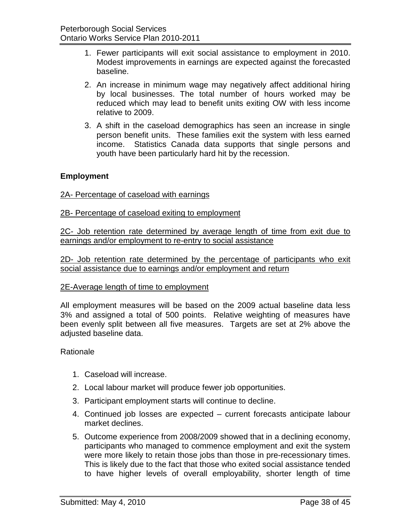- 1. Fewer participants will exit social assistance to employment in 2010. Modest improvements in earnings are expected against the forecasted baseline.
- 2. An increase in minimum wage may negatively affect additional hiring by local businesses. The total number of hours worked may be reduced which may lead to benefit units exiting OW with less income relative to 2009.
- 3. A shift in the caseload demographics has seen an increase in single person benefit units. These families exit the system with less earned income. Statistics Canada data supports that single persons and youth have been particularly hard hit by the recession.

## <span id="page-37-0"></span>**Employment**

#### 2A- Percentage of caseload with earnings

#### 2B- Percentage of caseload exiting to employment

2C- Job retention rate determined by average length of time from exit due to earnings and/or employment to re-entry to social assistance

2D- Job retention rate determined by the percentage of participants who exit social assistance due to earnings and/or employment and return

#### 2E-Average length of time to employment

All employment measures will be based on the 2009 actual baseline data less 3% and assigned a total of 500 points. Relative weighting of measures have been evenly split between all five measures. Targets are set at 2% above the adjusted baseline data.

#### Rationale

- 1. Caseload will increase.
- 2. Local labour market will produce fewer job opportunities.
- 3. Participant employment starts will continue to decline.
- 4. Continued job losses are expected current forecasts anticipate labour market declines.
- 5. Outcome experience from 2008/2009 showed that in a declining economy, participants who managed to commence employment and exit the system were more likely to retain those jobs than those in pre-recessionary times. This is likely due to the fact that those who exited social assistance tended to have higher levels of overall employability, shorter length of time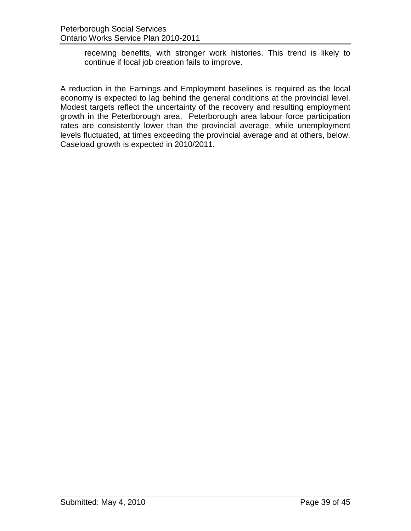receiving benefits, with stronger work histories. This trend is likely to continue if local job creation fails to improve.

A reduction in the Earnings and Employment baselines is required as the local economy is expected to lag behind the general conditions at the provincial level. Modest targets reflect the uncertainty of the recovery and resulting employment growth in the Peterborough area. Peterborough area labour force participation rates are consistently lower than the provincial average, while unemployment levels fluctuated, at times exceeding the provincial average and at others, below. Caseload growth is expected in 2010/2011.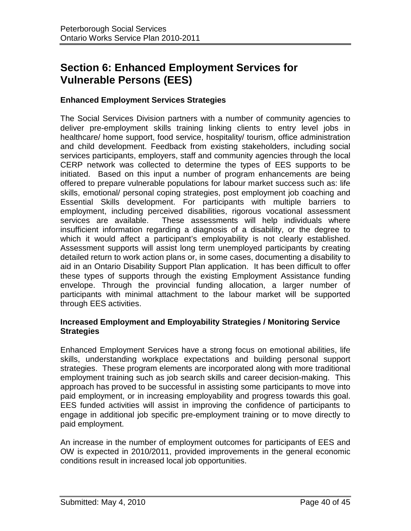# <span id="page-39-0"></span>**Section 6: Enhanced Employment Services for Vulnerable Persons (EES)**

## <span id="page-39-1"></span>**Enhanced Employment Services Strategies**

The Social Services Division partners with a number of community agencies to deliver pre-employment skills training linking clients to entry level jobs in healthcare/ home support, food service, hospitality/ tourism, office administration and child development. Feedback from existing stakeholders, including social services participants, employers, staff and community agencies through the local CERP network was collected to determine the types of EES supports to be initiated. Based on this input a number of program enhancements are being offered to prepare vulnerable populations for labour market success such as: life skills, emotional/ personal coping strategies, post employment job coaching and Essential Skills development. For participants with multiple barriers to employment, including perceived disabilities, rigorous vocational assessment services are available. These assessments will help individuals where insufficient information regarding a diagnosis of a disability, or the degree to which it would affect a participant's employability is not clearly established. Assessment supports will assist long term unemployed participants by creating detailed return to work action plans or, in some cases, documenting a disability to aid in an Ontario Disability Support Plan application. It has been difficult to offer these types of supports through the existing Employment Assistance funding envelope. Through the provincial funding allocation, a larger number of participants with minimal attachment to the labour market will be supported through EES activities.

#### <span id="page-39-2"></span>**Increased Employment and Employability Strategies / Monitoring Service Strategies**

Enhanced Employment Services have a strong focus on emotional abilities, life skills, understanding workplace expectations and building personal support strategies. These program elements are incorporated along with more traditional employment training such as job search skills and career decision-making. This approach has proved to be successful in assisting some participants to move into paid employment, or in increasing employability and progress towards this goal. EES funded activities will assist in improving the confidence of participants to engage in additional job specific pre-employment training or to move directly to paid employment.

An increase in the number of employment outcomes for participants of EES and OW is expected in 2010/2011, provided improvements in the general economic conditions result in increased local job opportunities.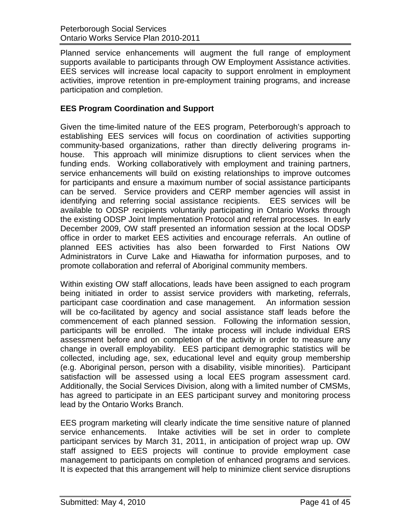Planned service enhancements will augment the full range of employment supports available to participants through OW Employment Assistance activities. EES services will increase local capacity to support enrolment in employment activities, improve retention in pre-employment training programs, and increase participation and completion.

# <span id="page-40-0"></span>**EES Program Coordination and Support**

Given the time-limited nature of the EES program, Peterborough's approach to establishing EES services will focus on coordination of activities supporting community-based organizations, rather than directly delivering programs inhouse. This approach will minimize disruptions to client services when the funding ends. Working collaboratively with employment and training partners, service enhancements will build on existing relationships to improve outcomes for participants and ensure a maximum number of social assistance participants can be served. Service providers and CERP member agencies will assist in identifying and referring social assistance recipients. EES services will be available to ODSP recipients voluntarily participating in Ontario Works through the existing ODSP Joint Implementation Protocol and referral processes. In early December 2009, OW staff presented an information session at the local ODSP office in order to market EES activities and encourage referrals. An outline of planned EES activities has also been forwarded to First Nations OW Administrators in Curve Lake and Hiawatha for information purposes, and to promote collaboration and referral of Aboriginal community members.

Within existing OW staff allocations, leads have been assigned to each program being initiated in order to assist service providers with marketing, referrals, participant case coordination and case management. An information session will be co-facilitated by agency and social assistance staff leads before the commencement of each planned session. Following the information session, participants will be enrolled. The intake process will include individual ERS assessment before and on completion of the activity in order to measure any change in overall employability. EES participant demographic statistics will be collected, including age, sex, educational level and equity group membership (e.g. Aboriginal person, person with a disability, visible minorities). Participant satisfaction will be assessed using a local EES program assessment card. Additionally, the Social Services Division, along with a limited number of CMSMs, has agreed to participate in an EES participant survey and monitoring process lead by the Ontario Works Branch.

EES program marketing will clearly indicate the time sensitive nature of planned service enhancements. Intake activities will be set in order to complete participant services by March 31, 2011, in anticipation of project wrap up. OW staff assigned to EES projects will continue to provide employment case management to participants on completion of enhanced programs and services. It is expected that this arrangement will help to minimize client service disruptions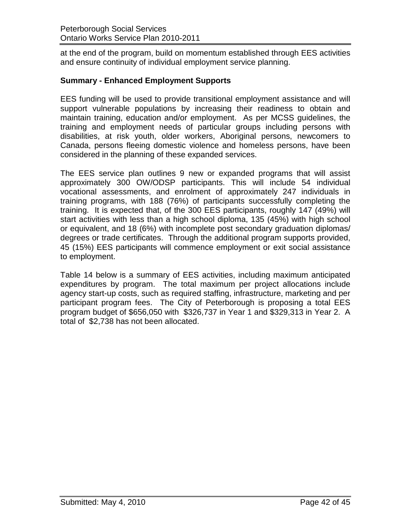at the end of the program, build on momentum established through EES activities and ensure continuity of individual employment service planning.

# <span id="page-41-0"></span>**Summary - Enhanced Employment Supports**

EES funding will be used to provide transitional employment assistance and will support vulnerable populations by increasing their readiness to obtain and maintain training, education and/or employment. As per MCSS guidelines, the training and employment needs of particular groups including persons with disabilities, at risk youth, older workers, Aboriginal persons, newcomers to Canada, persons fleeing domestic violence and homeless persons, have been considered in the planning of these expanded services.

The EES service plan outlines 9 new or expanded programs that will assist approximately 300 OW/ODSP participants. This will include 54 individual vocational assessments, and enrolment of approximately 247 individuals in training programs, with 188 (76%) of participants successfully completing the training. It is expected that, of the 300 EES participants, roughly 147 (49%) will start activities with less than a high school diploma, 135 (45%) with high school or equivalent, and 18 (6%) with incomplete post secondary graduation diplomas/ degrees or trade certificates. Through the additional program supports provided, 45 (15%) EES participants will commence employment or exit social assistance to employment.

Table 14 below is a summary of EES activities, including maximum anticipated expenditures by program. The total maximum per project allocations include agency start-up costs, such as required staffing, infrastructure, marketing and per participant program fees. The City of Peterborough is proposing a total EES program budget of \$656,050 with \$326,737 in Year 1 and \$329,313 in Year 2. A total of \$2,738 has not been allocated.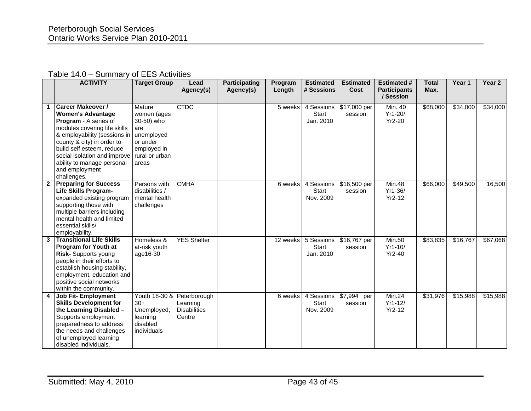#### Table 14.0 – Summary of EES Activities

|              | <b>ACTIVITY</b>                                                                                                                                                                                                                                                                                         | <b>Target Group</b>                                                                                            | Lead<br>Agency(s)                                         | <b>Participating</b><br>Agency(s) | Program<br>Length | <b>Estimated</b><br># Sessions          | <b>Estimated</b><br>Cost | <b>Estimated #</b><br><b>Participants</b><br>/ Session | <b>Total</b><br>Max. | Year 1   | Year <sub>2</sub> |
|--------------|---------------------------------------------------------------------------------------------------------------------------------------------------------------------------------------------------------------------------------------------------------------------------------------------------------|----------------------------------------------------------------------------------------------------------------|-----------------------------------------------------------|-----------------------------------|-------------------|-----------------------------------------|--------------------------|--------------------------------------------------------|----------------------|----------|-------------------|
|              | <b>Career Makeover /</b><br><b>Women's Advantage</b><br>Program - A series of<br>modules covering life skills<br>& employability (sessions in<br>county & city) in order to<br>build self esteem, reduce<br>social isolation and improve<br>ability to manage personal<br>and employment<br>challenges. | Mature<br>women (ages<br>30-50) who<br>are<br>unemployed<br>or under<br>employed in<br>rural or urban<br>areas | <b>CTDC</b>                                               |                                   | 5 weeks           | 4 Sessions<br><b>Start</b><br>Jan. 2010 | $517,000$ per<br>session | Min. 40<br>Yr1-20/<br>Yr2-20                           | \$68,000             | \$34,000 | \$34,000          |
| $\mathbf{2}$ | <b>Preparing for Success</b><br><b>Life Skills Program-</b><br>expanded existing program<br>supporting those with<br>multiple barriers including<br>mental health and limited<br>essential skills/<br>employability.                                                                                    | Persons with<br>disabilities /<br>mental health<br>challenges                                                  | <b>CMHA</b>                                               |                                   | 6 weeks           | 4 Sessions<br><b>Start</b><br>Nov. 2009 | \$16,500 per<br>session  | Min.48<br>Yr1-36/<br>$Yr2-12$                          | \$66,000             | \$49,500 | 16,500            |
|              | 3 Transitional Life Skills<br><b>Program for Youth at</b><br>Risk- Supports young<br>people in their efforts to<br>establish housing stability,<br>employment, education and<br>positive social networks<br>within the community.                                                                       | Homeless &<br>at-risk youth<br>age16-30                                                                        | <b>YES Shelter</b>                                        |                                   | 12 weeks          | 5 Sessions<br><b>Start</b><br>Jan. 2010 | \$16,767 per<br>session  | <b>Min.50</b><br>$Yr1-10/$<br>$Yr2-40$                 | \$83,835             | \$16,767 | \$67,068          |
|              | <b>Job Fit- Employment</b><br><b>Skills Development for</b><br>the Learning Disabled -<br>Supports employment<br>preparedness to address<br>the needs and challenges<br>of unemployed learning<br>disabled individuals.                                                                                 | Youth 18-30 &<br>$30+$<br>Unemployed,<br>learning<br>disabled<br>individuals                                   | Peterborough<br>Learning<br><b>Disabilities</b><br>Centre |                                   | 6 weeks           | 4 Sessions<br>Start<br>Nov. 2009        | \$7,994 per<br>session   | Min.24<br>$Yr1-12/$<br>$Yr2-12$                        | \$31,976             | \$15,988 | \$15,988          |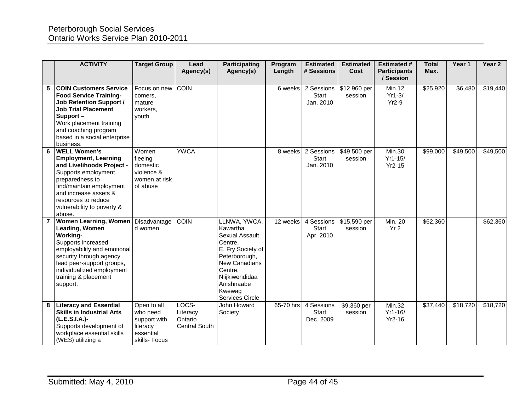|   | <b>ACTIVITY</b>                                                                                                                                                                                                                               | <b>Target Group</b>                                                               | Lead<br>Agency(s)                                    | <b>Participating</b><br>Agency(s)                                                                                                                                                    | Program<br>Length | <b>Estimated</b><br># Sessions          | <b>Estimated</b><br>Cost | <b>Estimated #</b><br><b>Participants</b><br>/ Session | <b>Total</b><br>Max. | Year 1   | Year 2   |
|---|-----------------------------------------------------------------------------------------------------------------------------------------------------------------------------------------------------------------------------------------------|-----------------------------------------------------------------------------------|------------------------------------------------------|--------------------------------------------------------------------------------------------------------------------------------------------------------------------------------------|-------------------|-----------------------------------------|--------------------------|--------------------------------------------------------|----------------------|----------|----------|
| 5 | <b>COIN Customers Service</b><br><b>Food Service Training-</b><br><b>Job Retention Support /</b><br><b>Job Trial Placement</b><br>Support-<br>Work placement training<br>and coaching program<br>based in a social enterprise<br>business.    | Focus on new<br>comers.<br>mature<br>workers,<br>youth                            | <b>COIN</b>                                          |                                                                                                                                                                                      | 6 weeks           | 2 Sessions<br><b>Start</b><br>Jan. 2010 | $312,960$ per<br>session | Min.12<br>$Yr1-3/$<br>$Yr2-9$                          | \$25,920             | \$6,480  | \$19,440 |
|   | <b>WELL Women's</b><br><b>Employment, Learning</b><br>and Livelihoods Project -<br>Supports employment<br>preparedness to<br>find/maintain employment<br>and increase assets &<br>resources to reduce<br>vulnerability to poverty &<br>abuse. | Women<br>fleeing<br>domestic<br>violence &<br>women at risk<br>of abuse           | <b>YWCA</b>                                          |                                                                                                                                                                                      | 8 weeks           | 2 Sessions<br>Start<br>Jan. 2010        | \$49,500 per<br>session  | <b>Min.30</b><br>$Yr1-15/$<br>$Yr2-15$                 | \$99,000             | \$49,500 | \$49,500 |
|   | <b>Women Learning, Women</b><br>Leading, Women<br>Working-<br>Supports increased<br>employability and emotional<br>security through agency<br>lead peer-support groups,<br>individualized employment<br>training & placement<br>support.      | Disadvantage<br>d women                                                           | <b>COIN</b>                                          | LLNWA, YWCA,<br>Kawartha<br>Sexual Assault<br>Centre,<br>E. Fry Society of<br>Peterborough,<br>New Canadians<br>Centre.<br>Niijkiwendidaa<br>Anishnaabe<br>Kwewag<br>Services Circle | 12 weeks          | 4 Sessions<br>Start<br>Apr. 2010        | \$15,590 per<br>session  | Min. 20<br>Yr <sub>2</sub>                             | \$62,360             |          | \$62,360 |
|   | <b>Literacy and Essential</b><br><b>Skills in Industrial Arts</b><br>(L.E.S.I.A.)-<br>Supports development of<br>workplace essential skills<br>(WES) utilizing a                                                                              | Open to all<br>who need<br>support with<br>literacy<br>essential<br>skills- Focus | LOCS-<br>Literacy<br>Ontario<br><b>Central South</b> | John Howard<br>Society                                                                                                                                                               | 65-70 hrs         | 4 Sessions<br>Start<br>Dec. 2009        | \$9,360 per<br>session   | Min.32<br>$Yr1-16/$<br>$Yr2-16$                        | \$37,440             | \$18,720 | \$18,720 |